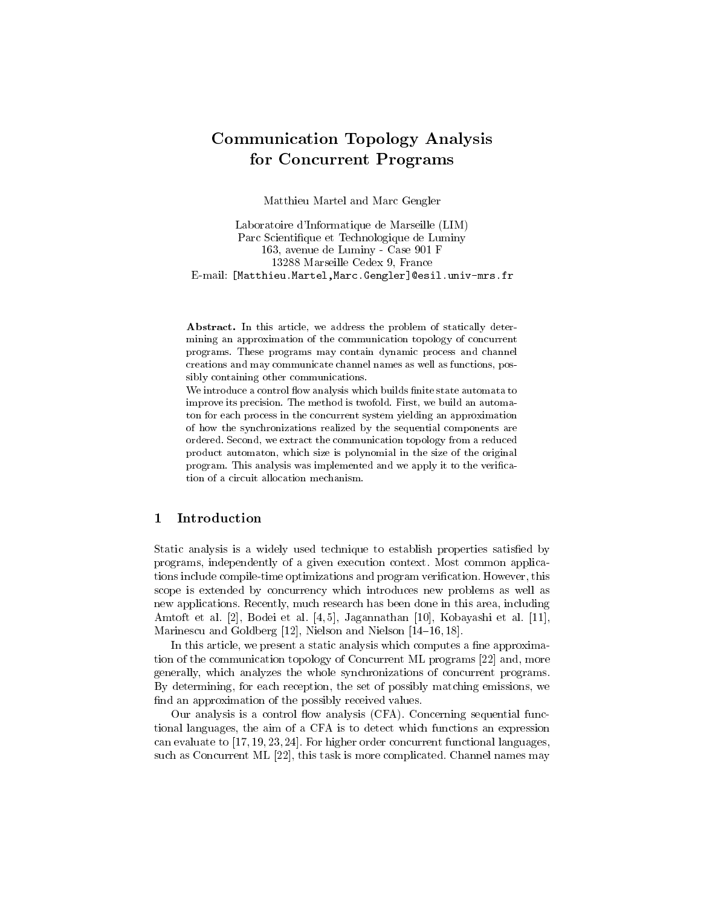# Communication Topology Analysis for Concurrent Programs

Matthieu Martel and Marc Gengler

Laboratoire d'Informatique de Marseille (LIM) Parc Scientique et Technologique de Luminy 163, avenue de Luminy - Case 901 F 13288 Marseille Cedex 9, France E-mail: [Matthieu.Martel,Marc.Gengler]@esil.univ-mrs.fr

Abstract. In this article, we address the problem of statically determining an approximation of the communication topology of concurrent programs. These programs may contain dynamic process and channel creations and may communicate channel names as well as functions, possibly containing other communications.

We introduce a control flow analysis which builds finite state automata to improve its precision. The method is twofold. First, we build an automaton for each process in the concurrent system yielding an approximation of how the synchronizations realized by the sequential components are ordered. Second, we extract the communication topology from a reduced product automaton, which size is polynomial in the size of the original program. This analysis was implemented and we apply it to the verication of a circuit allocation mechanism.

#### Introduction  $\mathbf{1}$

Static analysis is a widely used technique to establish properties satisfied by programs, independently of a given execution context. Most common applications include compile-time optimizations and program verication. However, this scope is extended by concurrency which introduces new problems as well as new applications. Recently, much research has been done in this area, including Amtoft et al. [2], Bodei et al. [4, 5], Jagannathan [10], Kobayashi et al. [11], Marinescu and Goldberg  $[12]$ , Nielson and Nielson  $[14–16, 18]$ .

In this article, we present a static analysis which computes a fine approximation of the communication topology of Concurrent ML programs [22] and, more generally, which analyzes the whole synchronizations of concurrent programs. By determining, for each reception, the set of possibly matching emissions, we find an approximation of the possibly received values.

Our analysis is a control flow analysis (CFA). Concerning sequential functional languages, the aim of a CFA is to detect which functions an expression can evaluate to [17, 19, 23, 24]. For higher order concurrent functional languages, such as Concurrent ML [22], this task is more complicated. Channel names may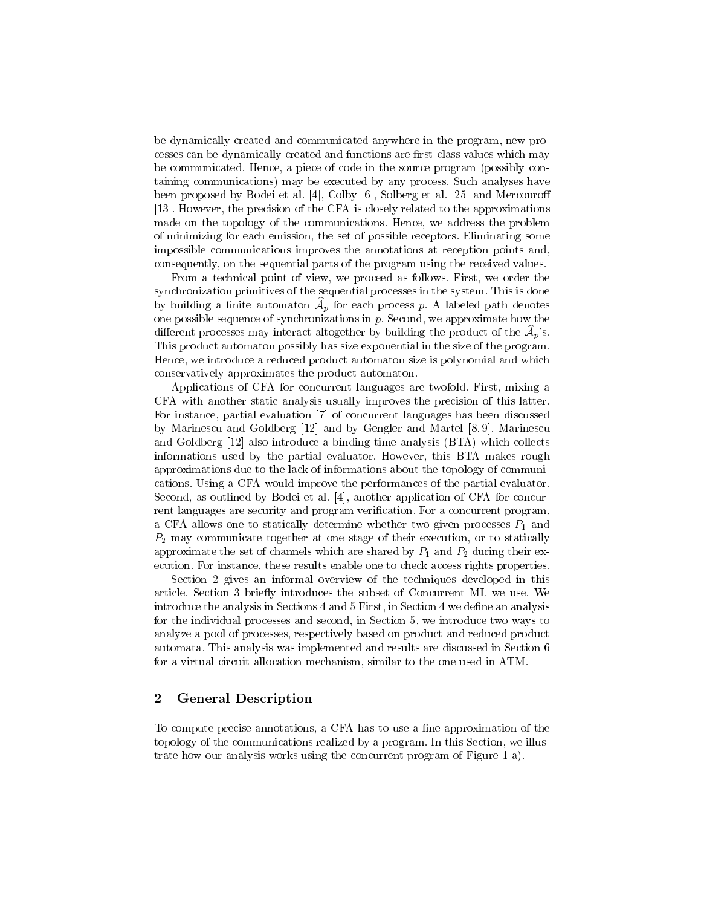be dynamically created and communicated anywhere in the program, new processes can be dynamically created and functions are first-class values which may be communicated. Hence, a piece of code in the source program (possibly containing communications) may be executed by any process. Such analyses have been proposed by Bodei et al. [4], Colby [6], Solberg et al. [25] and Mercouroff [13]. However, the precision of the CFA is closely related to the approximations made on the topology of the communications. Hence, we address the problem of minimizing for each emission, the set of possible receptors. Eliminating some impossible communications improves the annotations at reception points and, consequently, on the sequential parts of the program using the received values.

From a technical point of view, we proceed as follows. First, we order the synchronization primitives of the sequential processes in the system. This is done by building a nuite automaton  $A_n$  for each process  $p$ . A labeled path denotes one possible sequence of synchronizations in  $p$ . Second, we approximate how the different processes may interact altogether by building the product of the  $\mathcal{A}_p$ 's. This product automaton possibly has size exponential in the size of the program. Hence, we introduce a reduced product automaton size is polynomial and which conservatively approximates the product automaton.

Applications of CFA for concurrent languages are twofold. First, mixing a CFA with another static analysis usually improves the precision of this latter. For instance, partial evaluation [7] of concurrent languages has been discussed by Marinescu and Goldberg [12] and by Gengler and Martel [8, 9]. Marinescu and Goldberg [12] also introduce a binding time analysis (BTA) which collects informations used by the partial evaluator. However, this BTA makes rough approximations due to the lack of informations about the topology of communications. Using a CFA would improve the performances of the partial evaluator. Second, as outlined by Bodei et al. [4], another application of CFA for concurrent languages are security and program verification. For a concurrent program, a CFA allows one to statically determine whether two given processes P1 and 2 and 2 and 2 and 2 and 2 and 2 and P2 may communicate together at one stage of their execution, or to statically approximate the set of channels which are shared by P1 and P2 during the shared by P1 and P2 during the shared  $\alpha$ ecution. For instance, these results enable one to check access rights properties.

Section 2 gives an informal overview of the techniques developed in this article. Section 3 briefly introduces the subset of Concurrent ML we use. We introduce the analysis in Sections 4 and 5 First, in Section 4 we define an analysis for the individual processes and second, in Section 5, we introduce two ways to analyze a pool of processes, respectively based on product and reduced product automata. This analysis was implemented and results are discussed in Section 6 for a virtual circuit allocation mechanism, similar to the one used in ATM.

### 2 General Description

To compute precise annotations, a CFA has to use a fine approximation of the topology of the communications realized by a program. In this Section, we illustrate how our analysis works using the concurrent program of Figure 1 a).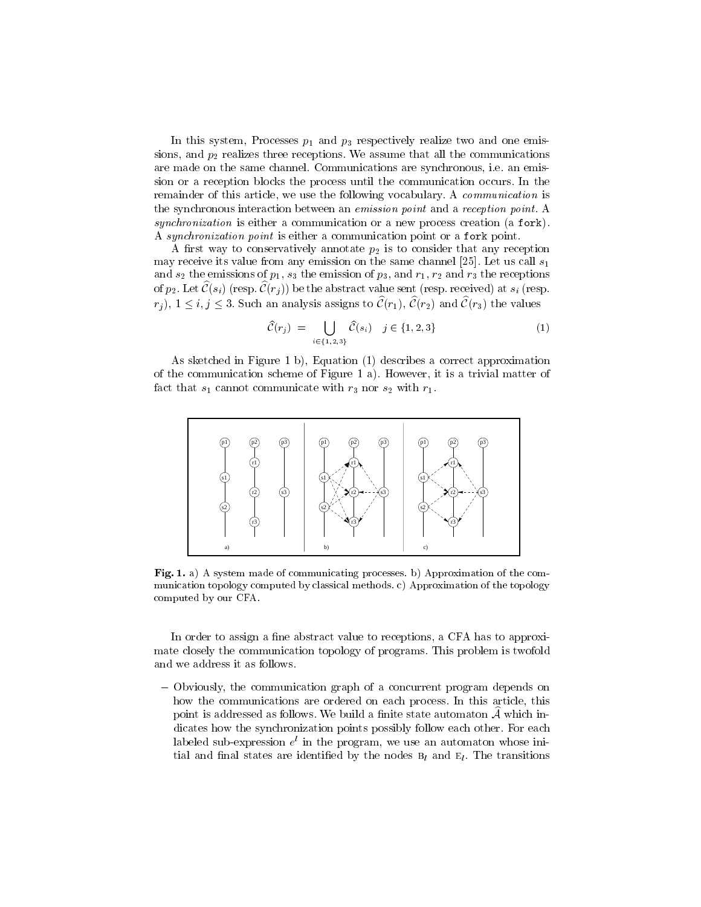In this system, Processes p1 and p3 respectively realize two and one emissions, and p2 realizes three receptions. We assume that all the communications are made on the same channel. Communications are synchronous, i.e. an emission or a reception blocks the process until the communication occurs. In the remainder of this article, we use the following vocabulary. A *communication* is the synchronous interaction between an emission point and a reception point. A synchronization is either a communication or a new process creation (a fork). A synchronization point is either a communication point or a fork point.

A rst way to conservatively annotate p2 is to consider that any reception may receive its value from any emission on the same channel [25]. Let us call  $s_1$ and s2 the emissions of p1, s3 the emission of p3, and r1, r2 and r3 the receptions of receptions. of  $p_2$ . Let  $\mathcal{C}(s_i)$  (resp.  $\mathcal{C}(r_j)$ ) be the abstract value sent (resp. received) at  $s_i$  (resp.  $r_i$ ,  $1 \le i, j \le 3$ . Such an analysis assigns to  $\hat{\mathcal{C}}(r_1), \hat{\mathcal{C}}(r_2)$  and  $\hat{\mathcal{C}}(r_3)$  the values

$$
\widehat{\mathcal{C}}(r_j) = \bigcup_{i \in \{1,2,3\}} \widehat{\mathcal{C}}(s_i) \quad j \in \{1,2,3\} \tag{1}
$$

As sketched in Figure 1 b), Equation (1) describes a correct approximation of the communication scheme of Figure 1 a). However, it is a trivial matter of fact that s1 cannot communicate with r3 nor s2 with r1.



Fig. 1. a) A system made of communicating processes. b) Approximation of the com munication topology computed by classical methods. c) Approximation of the topology computed by our CFA.

In order to assign a fine abstract value to receptions, a CFA has to approximate closely the communication topology of programs. This problem is twofold and we address it as follows.

{ Obviously, the communication graph of a concurrent program depends on how the communications are ordered on each process. In this article, this point is addressed as follows. We build a finite state automaton  $A$  which indicates how the synchronization points possibly follow each other. For each labeled sub-expression <sup>e</sup> <sup>l</sup> in the program, we use an automaton whose initial and final states are identified by the nodes  $B_l$  and  $E_l$ . The transitions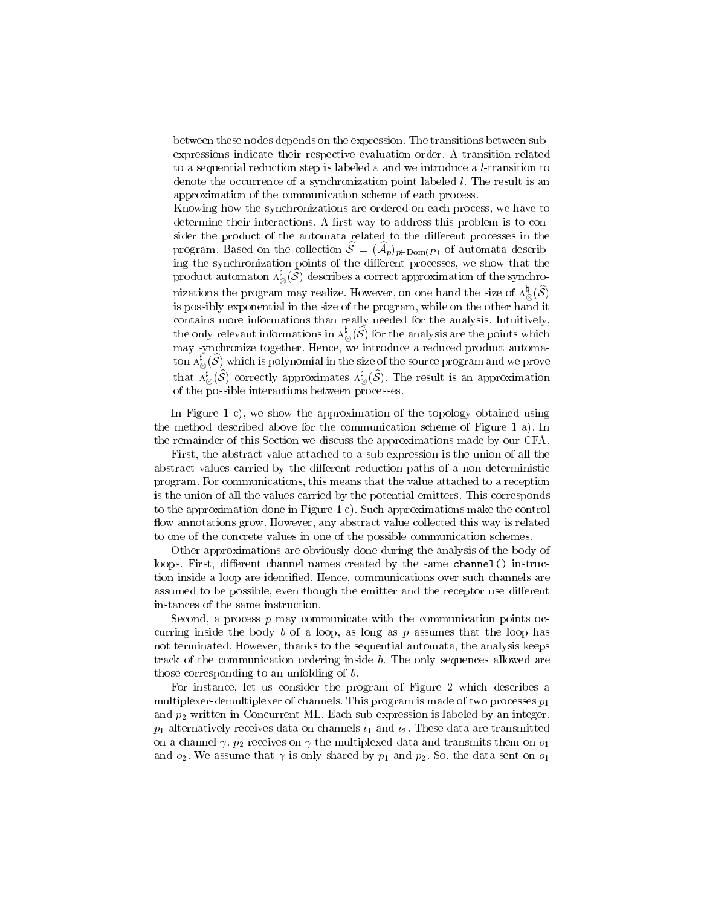between these nodes depends on the expression. The transitions between subexpressions indicate their respective evaluation order. A transition related to a sequential reduction step is labeled  $\varepsilon$  and we introduce a *l*-transition to denote the occurrence of a synchronization point labeled l. The result is an approximation of the communication scheme of each process.

Knowing how the synchronizations are ordered on each process, we have to determine their interactions. A first way to address this problem is to consider the product of the automata related to the different processes in the program. Based on the conection  $\mathcal{O} = (\mathcal{A}_p)_{p \in Dom(P)}$  or automata describing the synchronization points of the different processes, we show that the product automaton  ${\rm A}_\odot$  (S) describes a correct approximation of the synchro- $\sim$ nizations the program may realize. However, on one hand the size of  $\mathrm{A}^*_{\infty}(\mathcal{S})$  $\sim$ is possibly exponential in the size of the program, while on the other hand it contains more informations than really needed for the analysis. Intuitively, the only relevant informations in  ${\rm A}^*_\infty(\mathcal{S})$  for the analysis are the points which  $\tilde{}$ may synchronize together. Hence, we introduce a reduced product automaton  $\Lambda_\otimes^*(\mathcal{S})$  which is polynomial in the size of the source program and we prove that  $A_\infty^*(\mathcal{S})$  correctly approximates  $A_\infty^*(\mathcal{S})$ . The result is an approximation of the possible interactions between processes.

In Figure 1 c), we show the approximation of the topology obtained using the method described above for the communication scheme of Figure 1 a). In the remainder of this Section we discuss the approximations made by our CFA.

First, the abstract value attached to a sub-expression is the union of all the abstract values carried by the different reduction paths of a non-deterministic program. For communications, this means that the value attached to a reception is the union of all the values carried by the potential emitters. This corresponds to the approximation done in Figure 1 c). Such approximations make the control flow annotations grow. However, any abstract value collected this way is related to one of the concrete values in one of the possible communication schemes.

Other approximations are obviously done during the analysis of the body of loops. First, different channel names created by the same channel () instruction inside a loop are identied. Hence, communications over such channels are assumed to be possible, even though the emitter and the receptor use different instances of the same instruction.

Second, a process  $p$  may communicate with the communication points occurring inside the body b of a loop, as long as p assumes that the loop has not terminated. However, thanks to the sequential automata, the analysis keeps track of the communication ordering inside b. The only sequences allowed are those corresponding to an unfolding of b.

For instance, let us consider the program of Figure 2 which describes a multiplexer-demultiplexer of channels. This program is made of two processes  $p_1$ and p2 written in Concurrent ML. Each sub-expression in Concerted by an integer and integer. Only and  $p$  1 alternatively receives data on channels  $\cdot$  1 and 2. These data are transmitted are transmitted are on a channel and the multiplexed data and the multiplexed data and them of contract the multiplexed data and t and o $2$ . We assume that  $i$  and  $j$  and p2. So, the data sent on  $1$  ,  $\mu$  , then  $\mu$  and  $\mu$  and  $\mu$  and  $\mu$  and  $\mu$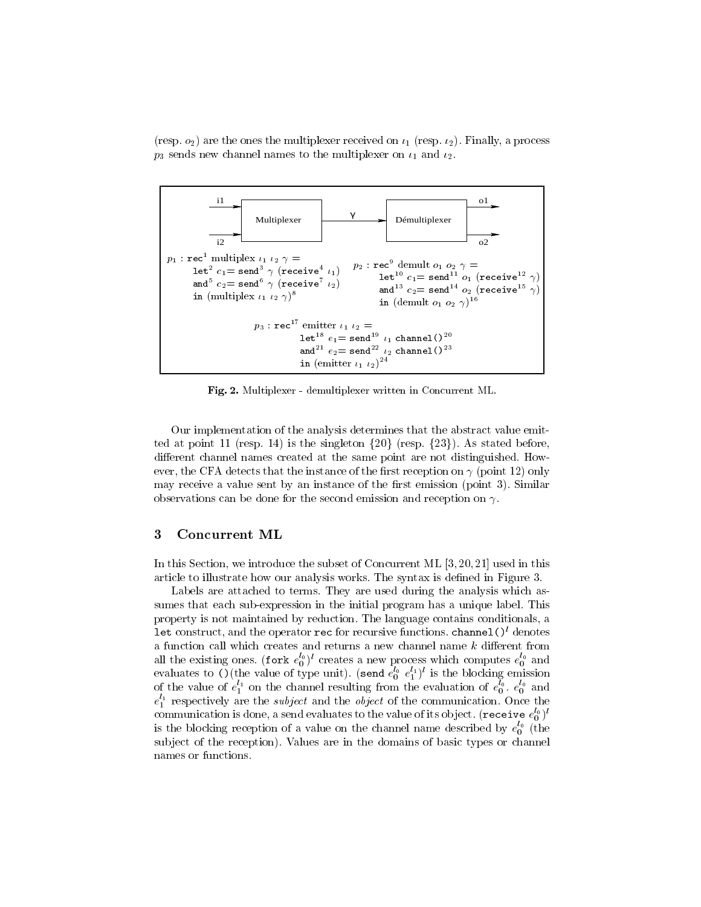(resp. o2) are the ones the multiplexer received on 1 (resp. 2). Finally, a process  $\mu$  , and  $\mu$  received on p3 sends new channel names to the multiplexer on 1 and 2.



Fig. 2. Multiplexer - demultiplexer written in Concurrent ML.

Our implementation of the analysis determines that the abstract value emitted at point 11 (resp. 14) is the singleton  $\{20\}$  (resp.  $\{23\}$ ). As stated before, different channel names created at the same point are not distinguished. However, the CFA detects that the instance of the first reception on  $\gamma$  (point 12) only may receive a value sent by an instance of the first emission (point 3). Similar observations can be done for the second emission and reception on  $\gamma$ .

### 3 Concurrent ML

In this Section, we introduce the subset of Concurrent ML [3, 20, 21] used in this article to illustrate how our analysis works. The syntax is defined in Figure 3.

Labels are attached to terms. They are used during the analysis which assumes that each sub-expression in the initial program has a unique label. This property is not maintained by reduction. The language contains conditionals, a let construct, and the operator rec for recursive functions. channel()l denotes a function call which creates and returns a new channel name  $k$  different from all the existing ones. (fork  $e_0^\infty$ )" creates a new process which computes  $e_0^\infty$ creates a new process which computes  $\mathbf{p}$ evaluates to () (the value of type unit). (send  $e_0^{\infty}$   $e_1^{\infty}$ ) is the blocking emission of the value of  $e_1^{\perp}$  on the channel resulting from the evaluation of  $e_0^{\perp}$ ,  $e_0^{\perp}$  and  $e_1^\text{-1}$  respectively are the subject and the object of the communication. Once the communication is done, a send evaluates to the value of its object. (recelve  $e_0^\gamma$  )' is the blocking reception of a value on the channel name described by  $e_0^\ast$  (the subject of the reception). Values are in the domains of basic types or channel names or functions.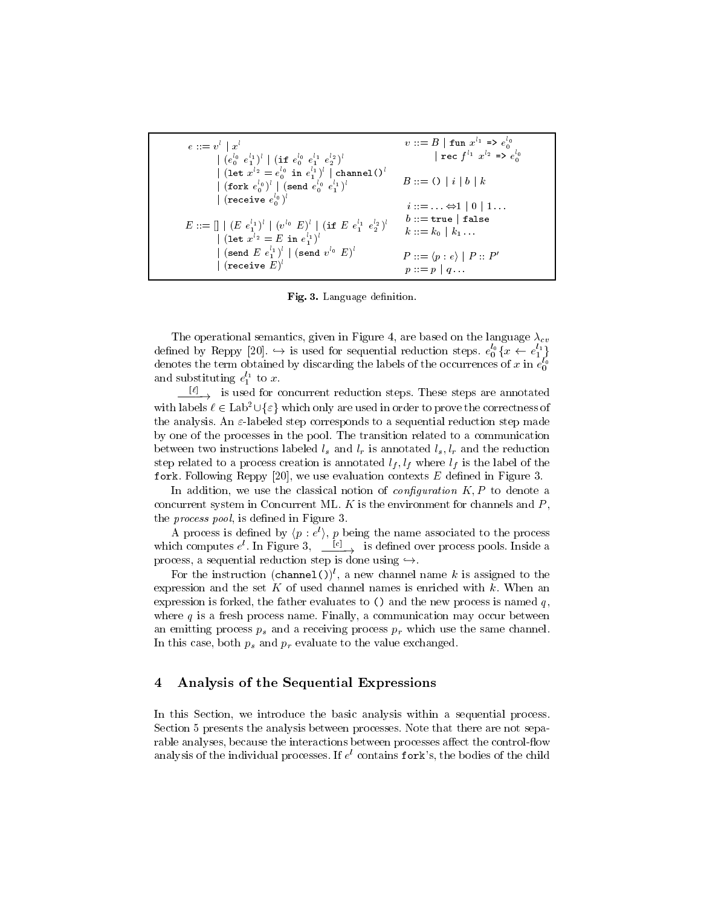| $e ::= v^l   x^l$                                                                                                                                                     | $v ::= B  $ fun $x^{l_1} \Rightarrow e_0^{l_0}$               |
|-----------------------------------------------------------------------------------------------------------------------------------------------------------------------|---------------------------------------------------------------|
| $\vert (e_0^{l_0} e_1^{l_1})^l \vert (if e_0^{l_0} e_1^{l_1} e_2^{l_2})^l$                                                                                            | rec $f^{l_1}$ $x^{l_2}$ => $e^{l_0}_{0}$                      |
| (let $x^{l_2} = e_0^{l_0}$ in $e_1^{l_1})^l$   channel () <sup><i>l</i></sup><br>  (fork $e_0^{l_0})^l$   (send $e_0^{l_0} e_1^{l_1}$ ) <sup><i>l</i></sup>           | $B ::= ()   i   b   k$                                        |
| (receive $e_0^{l_0}$ ) <sup><i>l</i></sup>                                                                                                                            | $i ::= \ldots \Leftrightarrow 1 \mid 0 \mid 1 \ldots$         |
| $E ::= \left[ \mid (E e_1^{l_1})^l \mid (v^{l_0} E)^l \mid (\text{if } E e_1^{l_1} e_2^{l_2})^l \right]$<br>  (let $x^{l_2} = E$ in $e_1^{l_1}$ ) <sup><i>l</i></sup> | $b ::=$ true   false<br>$k ::= k_0   k_1 $                    |
| $\int (\text{send } E \ e_1^{l_1})^l \mid (\text{send } v^{l_0} \ E)^l$<br>  (receive $E)^l$                                                                          | $P ::= \langle p : e \rangle \mid P :: P'$<br>$p := p \mid q$ |

Fig. 3. Language definition.

The operational semantics, given in Figure 4, are based on the language  $\lambda_{cv}$ defined by Reppy [20].  $\hookrightarrow$  is used for sequential reduction steps.  $e_0^{\ast} \{x \leftarrow e_1^{\ast}\}$  <sup>g</sup> denotes the term obtained by discarding the labels of the occurrences of  $x$  in  $e_0^\sim$ and substituting  $e_1^{\perp}$  to x.

 $\longrightarrow$  is used for concurrent reduction steps. These steps are annotated with labels  $\ell \in \text{Lab}^2 \cup \{\varepsilon\}$  which only are used in order to prove the correctness of the analysis. An  $\varepsilon$ -labeled step corresponds to a sequential reduction step made by one of the processes in the pool. The transition related to a communication between two instructions labeled  $l_s$  and  $l_r$  is annotated  $l_s$ ,  $l_r$  and the reduction step related to a process creation is annotated  $l_f, l_f$  where  $l_f$  is the label of the fork. Following Reppy [20], we use evaluation contexts  $E$  defined in Figure 3.

In addition, we use the classical notion of *configuration*  $K, P$  to denote a concurrent system in Concurrent ML.  $K$  is the environment for channels and  $P$ , the *process pool*, is defined in Figure 3.

A process is defined by  $\langle p : e \rangle$ ,  $p$  being the name associated to the process which computes e. In Figure 3,  $\frac{10}{2}$  is defined over process pools. Inside a

For the instruction  $(\text{channel}(i))^l$ , a new channel name k is assigned to the expression and the set K of used channel names is enriched with  $k$ . When an expression is forked, the father evaluates to  $\lambda$  and the new process is named q, where  $q$  is a fresh process name. Finally, a communication may occur between an emitting process  $p_s$  and a receiving process  $p_r$  which use the same channel. In this case, both  $p_s$  and  $p_r$  evaluate to the value exchanged.

# 4 Analysis of the Sequential Expressions

In this Section, we introduce the basic analysis within a sequential process. Section 5 presents the analysis between processes. Note that there are not separable analyses, because the interactions between processes affect the control-flow analysis of the individual processes. If  $e^{\iota}$  contains fork's, the bodies of the child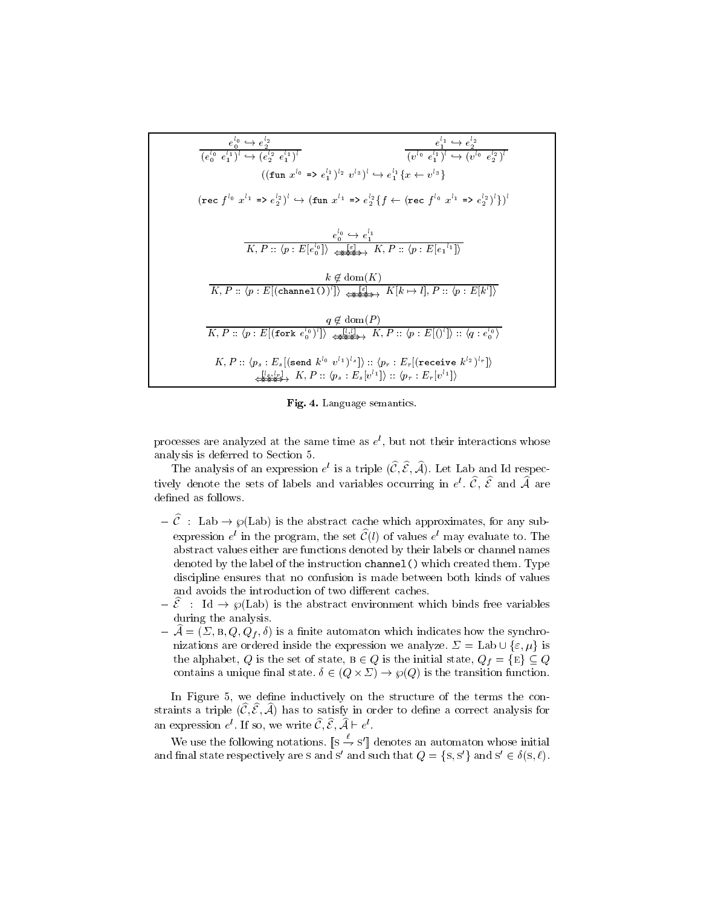| $e_0^{l_0} \hookrightarrow e_2^{l_2}$<br>$e_1^{l_1} \hookrightarrow e_2^{l_2}$<br>$(e_0^{l_0} e_1^{l_1})^l \leftrightarrow (e_2^{l_2} e_1^{l_1})^l$                                                                                                                                                                             | $(v^{l_0}, e^{l_1})^l \leftrightarrow (v^{l_0}, e^{l_2})^l$ |
|---------------------------------------------------------------------------------------------------------------------------------------------------------------------------------------------------------------------------------------------------------------------------------------------------------------------------------|-------------------------------------------------------------|
| $((\text{fun } x^{l_0} \Rightarrow e_1^{l_1})^{l_2} v^{l_3})^{l} \leftrightarrow e_1^{l_1} \{x \leftarrow v^{l_3}\}$<br>$(\text{rec } f^{l_0} x^{l_1} \Rightarrow e^{l_2}_{2})^{l} \hookrightarrow (\text{fun } x^{l_1} \Rightarrow e^{l_2}_{2} \{f \leftarrow (\text{rec } f^{l_0} x^{l_1} \Rightarrow e^{l_2}_{2})^{l}\}^{l}$ |                                                             |
| $e_0^{l_0} \hookrightarrow e_1^{l_1}$<br>$K, P :: \langle p : E[e_0^{\{0\}}] \rangle \longrightarrow \mathbb{F} \longrightarrow K, P :: \langle p : E[e_1^{\{1\}}] \rangle$                                                                                                                                                     |                                                             |
| $k \notin \text{dom}(K)$<br>$K, P :: \langle p : E[(\texttt{channel}(0)^l]) \rangle \xrightarrow{\{\varepsilon\}} K[k \mapsto l], P :: \overline{\langle p : E[k^l] \rangle}$                                                                                                                                                   |                                                             |
| $q \notin \text{dom}(P)$<br>$K, P :: \langle p : E   (\text{fork } e_0^{l_0})^l   \rangle \longrightarrow \{ k, k \} \times \{ p : E   (\cdot)^l   \} :: \langle q : e_0^{l_0} \rangle$                                                                                                                                         |                                                             |
| $K, P :: \langle p_s : E_s   (\texttt{send } k^{l_0} \ v^{l_1})^{l_s} ] \rangle :: \langle p_r : E_r   (\texttt{receive } k^{l_2})^{l_r} ] \rangle$<br>$\overline{\mathcal{L}_{\mathcal{S}}^{[l_s,l_r]}}$ , $K, P :: \langle p_s : E_s[v^{l_1}] \rangle :: \langle p_r : E_r[v^{l_1}] \rangle$                                  |                                                             |

Fig. 4. Language semantics.

processes are analyzed at the same time as  $e$  , but not their interactions whose analysis is deferred to Section 5.

The analysis of an expression  $e^r$  is a triple  $(c, c, \mathcal{A})$ . Let Lab and Id respectively denote the sets of labels and variables occurring in  $e^+$ ,  $\zeta$ ,  $\bar{c}$  and  $\mathcal A$  are defined as follows.

- ${\rm \textit{C}}$  : Lab  ${\rm \rightarrow \wp (Lab)}$  is the abstract cache which approximates, for any subexpression  $e^{\cdot}$  in the program, the set  $C(t)$  of values  $e^{\cdot}$  may evaluate to. The abstract values either are functions denoted by their labels or channel names denoted by the label of the instruction channel() which created them. Type discipline ensures that no confusion is made between both kinds of values and avoids the introduction of two different caches.
- ${\rm -\hat{\mathcal{E}}}\;$ : Id  ${\rm -\hat{g}}(Lab)$  is the abstract environment which binds free variables during the analysis.
- ${\cal A} = (\Sigma, {\bf B}, Q, Q_f, \delta)$  is a finite automaton which indicates how the synchronizations are ordered inside the expression we analyze.  $\Sigma = \text{Lab} \cup \{\varepsilon, \mu\}$  is the alphabet, Q is the set of state,  $B \in Q$  is the initial state,  $Q_f = \{E\} \subseteq Q$ contains a unique matrix state.  $\alpha$  (q)  $\alpha$  is  $\alpha$  (q)  $\alpha$  is the transition function.

In Figure 5, we define inductively on the structure of the terms the constraints a triple  $(\widehat{{\mathcal{C}}}, \widehat{{\mathcal{E}}}, \widehat{{\mathcal{A}}})$  has to satisfy in order to define a correct analysis for an expression  $e$ . If so, we write  $c, c, A \vdash e$ .

We use the following notations.  $||s - s'||$  denotes an automaton whose initial and mial state respectively are s and so and such that  $Q = \{8, 8\}$  and  $S \in \theta(S, \ell)$ .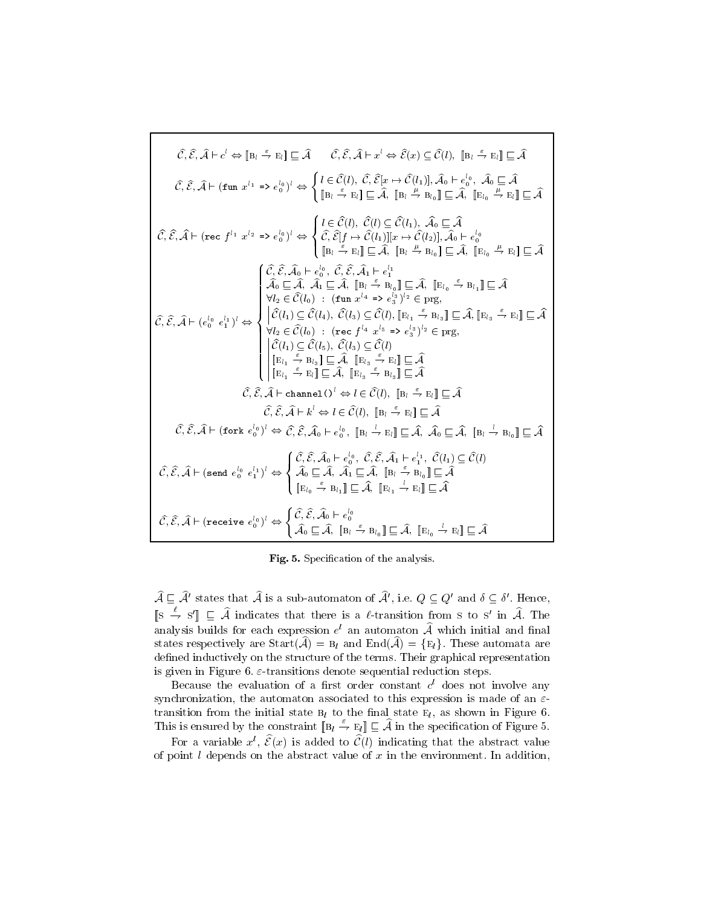$$
\hat{C}, \hat{\mathcal{E}}, \hat{\mathcal{A}} \vdash c^{l} \Leftrightarrow [B_{l} \stackrel{\epsilon}{\rightarrow} B_{l}] \sqsubseteq \hat{\mathcal{A}} \qquad \hat{C}, \hat{\mathcal{E}}, \hat{\mathcal{A}} \vdash x^{l} \Leftrightarrow \hat{\mathcal{E}}(x) \subseteq \hat{\mathcal{C}}(l), [B_{l} \stackrel{\epsilon}{\rightarrow} B_{l}] \sqsubseteq \hat{\mathcal{A}} \n\hat{C}, \hat{\mathcal{E}}, \hat{\mathcal{A}} \vdash (\text{fun } x^{l_{1}} \Rightarrow e_{0}^{l_{0}})^{l} \Leftrightarrow \begin{cases} l \in \hat{\mathcal{C}}(l), \hat{C}, \hat{\mathcal{E}}[x \mapsto \hat{\mathcal{C}}(l_{1})], \hat{\mathcal{A}}_{0} \vdash e_{0}^{l_{0}}, \hat{\mathcal{A}}_{0} \sqsubseteq \hat{\mathcal{A}} \n\hat{C}, \hat{\mathcal{E}}, \hat{\mathcal{A}} \vdash (\text{rec } f^{l_{1}} \ x^{l_{2}} \Rightarrow e_{0}^{l_{0}})^{l} \Leftrightarrow \begin{cases} l \in \hat{\mathcal{C}}(l), \hat{\mathcal{C}}(l) \subseteq \hat{\mathcal{C}}(l_{1}), \hat{\mathcal{A}}_{0} \sqsubseteq \hat{\mathcal{A}} \n\hat{C}, \hat{\mathcal{E}}, \hat{\mathcal{A}} \vdash (\text{rec } f^{l_{1}} \ x^{l_{2}} \Rightarrow e_{0}^{l_{0}})^{l} \Leftrightarrow \begin{cases} l \in \hat{\mathcal{C}}(l), \hat{\mathcal{C}}(l) \subseteq \hat{\mathcal{C}}(l_{1}), \hat{\mathcal{A}}_{0} \sqsubseteq \hat{\mathcal{A}} \n\hat{B}_{l_{1}} \vdash e_{0}^{l_{0}} \in \hat{\mathcal{A}}, [B_{l_{1}} \stackrel{\epsilon}{\rightarrow} B_{l_{0}}] \sqsubseteq \hat{\mathcal{A}}, [B_{l_{1}} \stackrel{\epsilon}{\rightarrow} B_{l_{1}}] \subseteq \hat{\mathcal{A}} \n\hat{C}, \hat{\mathcal{E}}, \hat{\mathcal{A}} \vdash (e_{0}^{l_{0}} \stackrel{\epsilon}{\rightarrow} \hat{\mathcal{C}}, \hat{\mathcal{C}}, \hat{\mathcal{A}}_{l_{1}} \vdash e_{1}^{l_{
$$

Fig. 5. Specification of the analysis.

 $A \sqcup A$  states that A is a sub-automaton of A , i.e.  $Q \subseteq Q$  and  $\theta \subseteq \theta$  . Hence,  $\mathbb{S} \to \mathbb{S}' \mathbb{L}$  A indicates that there is a letransition from s to s' in A. The analysis builds for each expression  $e^{\cdot}$  an automaton  ${\cal A}$  which initial and final states respectively are  $Start(\hat{A}) = B_l$  and  $End(\hat{A}) = {E_l}$ . These automata are defined inductively on the structure of the terms. Their graphical representation is given in Figure 6.  $\varepsilon$ -transitions denote sequential reduction steps.

Decause the evaluation of a first order constant  $c^{\ast}$  does not involve any synchronization, the automaton associated to this expression is made of an  $\varepsilon$ transition from the initial state  $B_l$  to the final state  $E_l$ , as shown in Figure 6. This is ensured by the constraint  $[\mathbb{B}_l \stackrel{\varepsilon}{\to} \mathbb{E}_l]] \sqsubseteq \widehat{A}$  in the specification of Figure 5.

For a variable  $x^l$ ,  $\hat{\mathcal{E}}(x)$  is added to  $\hat{\mathcal{C}}(l)$  indicating that the abstract value of point  $l$  depends on the abstract value of  $x$  in the environment. In addition,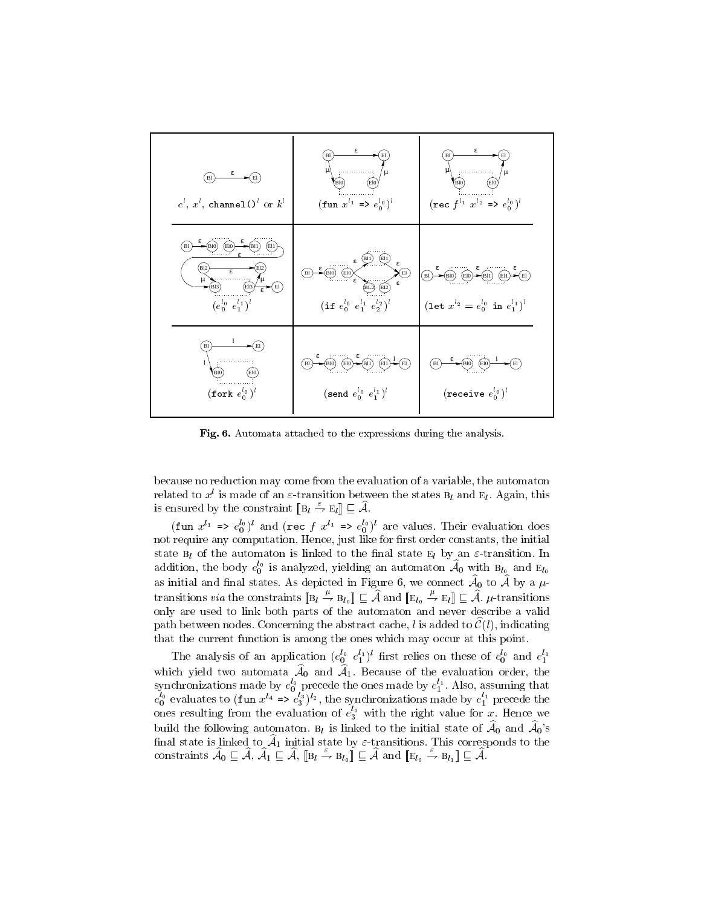

Fig. 6. Automata attached to the expressions during the analysis.

because no reduction may come from the evaluation of a variable, the automaton related to  $x^l$  is made of an  $\varepsilon$ -transition between the states  $B_l$  and  $E_l$ . Again, this is ensured by the constraint  $[\mathbf{B}_l \stackrel{\varepsilon}{\to} \mathbf{E}_l] \sqsubseteq \mathcal{A}$ .

(fun  $x^{1}$  =>  $e_0^0$ ) and (rec f  $x^{1}$  =>  $e_0^0$ ) are values. Their evaluation does not require any computation. Hence, just like for first order constants, the initial state  $B_l$  of the automaton is linked to the final state  $E_l$  by an  $\varepsilon$ -transition. In addition, the body  $e_0^\gamma$  is analyzed, yielding an automaton  $\mathcal{A}_0$  with  $\mathrm{B}_{l_0}$  and  $\mathrm{E}_{l_0}$ as initial and mall states. As depicted in Figure 0, we connect  $\mathcal{A}_0$  to  $\mathcal{A}$  by transitions *via* the constraints  $[\mathbf{B}_l \stackrel{\mu}{\to} \mathbf{B}_{l_0}]] \subseteq \widehat{A}$  and  $[\mathbf{E}_{l_0} \stackrel{\mu}{\to} \mathbf{E}_l]] \subseteq \widehat{A}$ .  $\mu$ -transitions only are used to link both parts of the automaton and never describe a valid path between nodes. Concerning the abstract cache, l is added to  $\mathcal{C}(l)$ , indicating that the current function is among the ones which may occur at this point.

The analysis of an application  $(e_0^o \t e_1^o)$  first relies on these of  $e_0^o$  and  $e_1^o$ which yield two automata  $A_0$  and  $A_1$ . Decade 1.Because of the evaluation order, the synchromizations made by  $e_0^{\infty}$  precede the ones made by  $e_1^{\infty}$ . Also, assuming that  $e_0^{\infty}$  evaluates to (fun  $x^{4}$  =>  $e_3^{\infty}$ )<sup>12</sup>, the synchronizations made by  $e_1^{\infty}$  precede the ones resulting from the evaluation of  $e_3^\gamma$  with the right value for x. Hence we build the following automaton.  $B_l$  is linked to the initial state of  $A_0$  and  $A_0$ 's  $\lim_{\alpha \to \infty}$  is finited to  $\mathcal{A}_1$  finitial state by  $\varepsilon$ -transitions. This corresponds to the constraints  $A_0 \sqsubseteq A$ ,  $A_1 \sqsubseteq A$ ,  $\mathbb{B}_l \to \mathbb{B}_{l_0} \mathbb{I} \sqsubseteq A$  and  $\mathbb{E}_{l_0} \to \mathbb{B}_{l_1} \mathbb{I} \sqsubseteq A$ .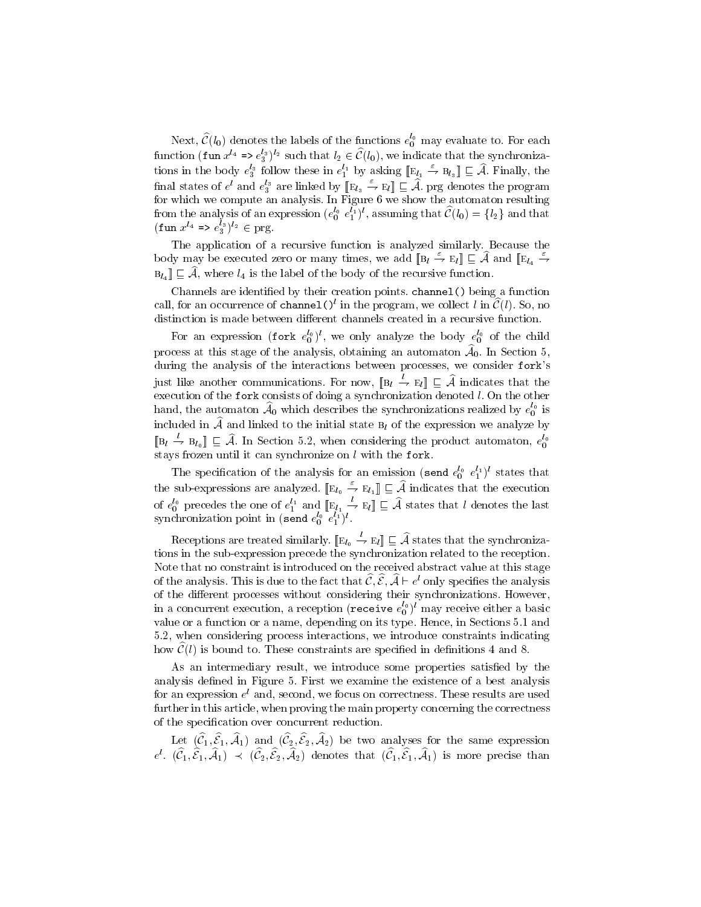Next,  $\mathcal{C}\left( l_{0}\right)$  denotes the labels of the functions  $e_{0}^{\infty}$  may evaluate to. For each function (fun  $x^{a} \equiv e^{a}$ )' $a$  such that  $l_2 \in C(l_0),$  we indicate that the synchronizations in the body  $e_3^s$  follow these in  $e_1^{e_1}$  by asking  $\Vert E_{l_1} \to B_{l_3} \Vert \sqsubseteq A$ . Finally, the final states of  $e^i$  and  $e_3^s$  are linked by  $[\![\mathbb{E}_{l_3}\rightarrow \mathbb{E}_{l}]\!] \sqsubseteq \mathcal{A}$ . prg denotes the program for which we compute an analysis. In Figure 6 we show the automaton resulting from the analysis of an expression  $(e_0^{\infty}e_1^{\infty})^*$ , assuming that  $\mathcal{L}(t_0) = \{t_2\}$  and that  $(\text{tun } x^{n} \implies e_3^{\circ})^{n} \in \text{prg}.$ 

The application of a recursive function is analyzed similarly. Because the body may be executed zero or many times, we add  $[\mathbb{B}_l \stackrel{\varepsilon}{\to} \mathbb{E}_l] \sqsubseteq \mathcal{A}$  and  $[\mathbb{E}_{l_4} \stackrel{\varepsilon}{\to}$  $B_{l_4}$   $\subseteq$   $\widehat{A}$ , where  $l_4$  is the label of the body of the recursive function.

Channels are identified by their creation points. channel () being a function call, for an occurrence of channel  $\mathcal{O}^l$  in the program, we collect l in  $\mathcal{C}(l)$ . So, no distinction is made between different channels created in a recursive function.

For an expression (fork  $e_0^{\alpha}$ ), we only analyze the body  $e_0^{\alpha}$  of the child process at this stage of the analysis, obtaining an automaton Ab 0. In Section 5, during the analysis of the interactions between processes, we consider fork's just like another communications. For now,  $\|B_l\|\to E_l\|\sqsubseteq \mathcal{A}$  indicates that the execution of the fork consists of doing a synchronization denoted l. On the other hand, the automaton  $\mathcal{A}_0$  which describes the synchronizations realized by  $e_0^\alpha$  is included in  $\widehat{A}$  and linked to the initial state  $B_l$  of the expression we analyze by  $[{\mathbb B}_l \to {\mathbb B}_{l_0}]] \sqsubseteq {\mathcal A}$ . In Section 5.2, when considering the product automaton,  $e_0^{v_0}$ stays frozen until it can synchronize on  $l$  with the fork.

The specification of the analysis for an emission (send  $e_0^o$   $e_1^o$ ) states that the sub-expressions are analyzed.  $[\mathbb{E}_{l_0} \stackrel{\varepsilon}{\rightarrow} \mathbb{E}_{l_1}]] \subseteq \widehat{A}$  indicates that the execution of  $e_0^0$  precedes the one of  $e_1^{\epsilon_1}$  and  $\mathbb{E} l_1 \to \mathbb{E} l \mathbb{I} \subseteq \mathcal{A}$  states that l denotes the last synchronization point in (send  $e_0^{\infty}$   $e_1^{\infty}$  ).

Receptions are treated similarly.  $[\mathbb{E}_{l_0} \to \mathbb{E}_{l}]] \sqsubseteq \mathcal{A}$  states that the synchronizations in the sub-expression precede the synchronization related to the reception. Note that no constraint is introduced on the received abstract value at this stage of the analysis. This is due to the fact that  $U, \mathcal{E}, \mathcal{A} \Vdash \mathcal{C}$  only specifies the analysis of the different processes without considering their synchronizations. However, in a concurrent execution, a reception (recelve  $e_0^{\circ}$  )" may receive either a basic value or a function or a name, depending on its type. Hence, in Sections 5.1 and 5.2, when considering process interactions, we introduce constraints indicating how  $\mathcal{C}(l)$  is bound to. These constraints are specified in definitions 4 and 8.

As an intermediary result, we introduce some properties satisfied by the analysis defined in Figure 5. First we examine the existence of a best analysis for an expression  $e$  and, second, we focus on correctness. These results are used further in this article, when proving the main property concerning the correctness of the specication over concurrent reduction.

Let  $(U_1, U_1, \mathcal{A}_1)$  and  $(U_2, U_2, \mathcal{A}_2)$  be two analyses for the same expression  $e^{\phi}$ ,  $(c_1, c_1, \mathcal{A}_1) \preceq (c_2, c_2, \mathcal{A}_2)$  denotes that  $(c_1, c_1, \mathcal{A}_1)$  is more precise than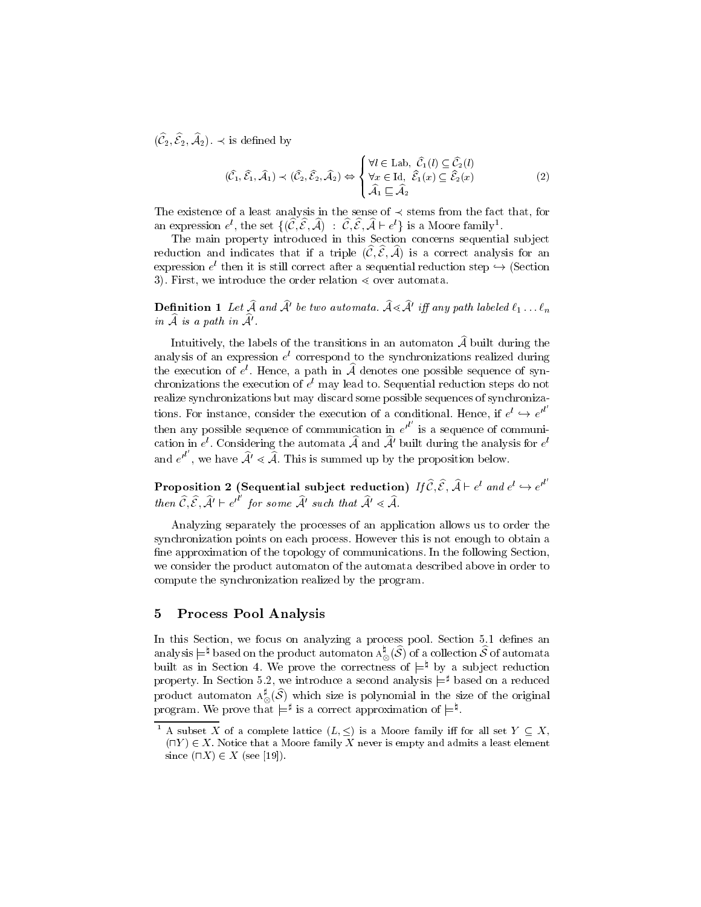$(C_2, C_2, \mathcal{A}_2)$ .  $\preceq$  is defined by

$$
(\widehat{\mathcal{C}}_1, \widehat{\mathcal{E}}_1, \widehat{\mathcal{A}}_1) \prec (\widehat{\mathcal{C}}_2, \widehat{\mathcal{E}}_2, \widehat{\mathcal{A}}_2) \Leftrightarrow \begin{cases} \forall l \in \text{Lab}, \ \widehat{\mathcal{C}}_1(l) \subseteq \widehat{\mathcal{C}}_2(l) \\ \forall x \in \text{Id}, \ \widehat{\mathcal{E}}_1(x) \subseteq \widehat{\mathcal{E}}_2(x) \\ \widehat{\mathcal{A}}_1 \sqsubseteq \widehat{\mathcal{A}}_2 \end{cases} (2)
$$

The existence of a least analysis in the sense of  $\prec$  stems from the fact that, for an expression  $e$ , the set  $\{(\mathcal{C}, \mathcal{Z}, \mathcal{A})\;:\; \mathcal{C}, \mathcal{Z}, \mathcal{A}\sqsubset e$  is a Moore family.

The main property introduced in this Section concerns sequential sub ject reduction and indicates that if a triple  $(\widehat{C}, \widehat{E}, \widehat{A})$  is a correct analysis for an expression  $e^{\cdot}$  then it is still correct after a sequential reduction step  $\hookrightarrow$  (Section 3). First, we introduce the order relation  $\leq$  over automata.

**Demition 1** Let A and A be two automata. A  $\ll$  A  $'$  if any path labeled  $t_1 \ldots t_n$ in  $\widehat{A}$  is a path in  $\widehat{A}'$ .

Intuitively, the labels of the transitions in an automaton  $\widehat{A}$  built during the analysis of an expression <sup>e</sup> <sup>l</sup> correspond to the synchronizations realized during the execution of  $e$  . Hence, a path in  ${\mathcal A}$  denotes one possible sequence of synchronizations the execution of <sup>e</sup> <sup>l</sup> may lead to. Sequential reduction steps do not realize synchronizations but may discard some possible sequences of synchronizations. For instance, consider the execution of a conditional. Hence, if  $e^l \hookrightarrow e^{l'}$ then any possible sequence of communication in  $e^{t}$  is a s is a sequence of communication in  $e^+$ . Considering the automata  ${\cal A}$  and  ${\cal A}$  built during the analysis for  $e^+$ and  $e^{it}$ , we have  $A' \leq A$ . This is summed up by the proposition below.

Proposition 2 (Sequential subject reduction) If  $\mathcal{C}, \mathcal{E}, \mathcal{A} \vdash e^l$  and  $e^l \hookrightarrow e^{\prime l}$ then  $\mathcal{C}, \mathcal{E}, \mathcal{A}' \vdash e^{t}$  for some  $\mathcal{A}'$  such that  $\mathcal{A}' \leq \mathcal{A}$ .

Analyzing separately the processes of an application allows us to order the synchronization points on each process. However this is not enough to obtain a fine approximation of the topology of communications. In the following Section, we consider the product automaton of the automata described above in order to compute the synchronization realized by the program.

#### 5 Process Pool Analysis

In this Section, we focus on analyzing a process pool. Section 5.1 defines an analysis  $\models^*$  based on the product automaton  ${\rm A}_\odot$  (S ) of a collection S of automata built as in Section 4. We prove the correctness of  $\models^{\sharp}$  by a subject reduction property. In Section 5.2, we introduce a second analysis  $\models^{\sharp}$  based on a reduced product automaton  $A_{\infty}^{*}(\mathcal{S})$  which size is polynomial in the size of the original program. We prove that  $\models^{\sharp}$  is a correct approximation of  $\models^{\sharp}$ .

A subset  $\Lambda$  of a complete lattice  $(L, \leq)$  is a Moore family iff for all set  $Y \subseteq \Lambda$ ,  $(\Pi Y) \in X$ . Notice that a Moore family X never is empty and admits a least element since  $(\sqcap X) \in X$  (see [19]).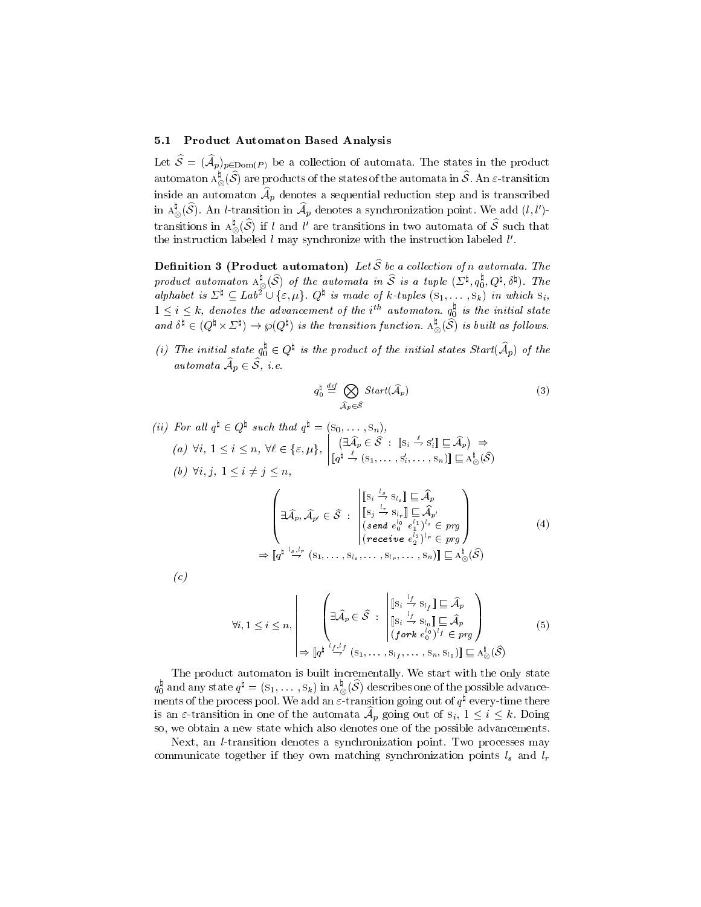#### 5.1 Product Automaton Based Analysis

Let  $\mathcal{O} = (\mathcal{A}_{p})_{p} \in \text{Dom}(P)$  be a collection of automata. The states in the product automaton  ${\rm A}^*_{\otimes}(\mathcal{S})$  are products of the states of the automata in  $\mathcal{S}.$  An  $\varepsilon$ -transition  $\min$ de an automaton  $\mathcal{A}_p$  denotes a sequential reduction step and is transcribed in  $A_{\otimes}(\mathcal{S})$ . An l-transition in  $\mathcal{A}_n$  denotes a synchronization point. We add  $(l,l')$ - $\sim$ transitions in A  $_{\odot}$  (S) if l and l' are transitions in two automata of S such that  $\sim$ the instruction labeled  $\iota$  may synchronize with the instruction labeled  $\iota$  .

**Definition 3 (Product automaton)** Let  $\widehat{S}$  be a collection of n automata. The product automaton  $A_{\otimes}^*(\mathcal{S})$  of the automata in  $\mathcal S$  is a tuple  $(\varSigma^{\vee}, q_0^{\vee}, Q^{\vee}, \delta^{\vee})$ . The alphabet is  $\mathcal{L}^* \subseteq L$ ab<sup>2</sup>  $\cup$  { $\varepsilon$ ,  $\mu$ }  $\mathcal{Q}^*$  is made of k-tuples  $(s_1,\ldots,s_k)$  in which  $s_i$ ,  $1 \leq i \leq k$ , denotes the advancement of the  $i^{n_i}$  automaton.  $q_0^*$  is the initial state and  $\delta^* \in (Q^* \times \Sigma^*) \to \wp(Q^*)$  is the transition function.  $A^*_{\otimes}(\mathcal{S})$  is built as follows.

(i) The initial state  $q_0^* \in Q^*$  is the product of the initial states Start( $\mathcal{A}_p$ ) of the  $a$  about all  $A_n \subset O$ , i.e.

$$
q_0^{\dagger} \stackrel{def}{=} \bigotimes_{\widehat{\mathcal{A}}_p \in \widehat{\mathcal{S}}} Start(\widehat{\mathcal{A}}_p)
$$
 (3)

 $\mathbf{1}$ 

(ii) For all 
$$
q^{\natural} \in Q^{\natural}
$$
 such that  $q^{\natural} = (s_0, \ldots, s_n)$ ,  
\n(a)  $\forall i, 1 \leq i \leq n, \forall \ell \in \{\varepsilon, \mu\}, \left| \begin{array}{l} (\exists \widehat{A}_p \in \widehat{S} : [\mathbf{s}_i \stackrel{\ell}{\to} s_i'] \sqsubseteq \widehat{A}_p) \Rightarrow \\ [\mathbf{q}^{\natural} \stackrel{\ell}{\to} (s_1, \ldots, s_i', \ldots, s_n')] \sqsubseteq A_{\otimes}^{\natural}(\widehat{S}) \end{array} \right|$   
\n(b)  $\forall i, j, 1 \leq i \neq j \leq n$ ,  
\n
$$
\left\{ \exists \widehat{A}_p, \widehat{A}_{p'} \in \widehat{S} : \left| \begin{array}{l} [\mathbf{s}_i \stackrel{\ell}{\to} s_{l_s}] \sqsubseteq \widehat{A}_p \\ [\mathbf{s}_j \stackrel{\ell}{\to} s_{l_s}] \sqsubseteq \widehat{A}_p \\ (\text{send } e_0^{l_1} e_1^{l_1})^s \in p \eta \\ (\text{receive } e_2^{l_2})^l \in p \eta \end{array} \right| \right. (4)
$$
\n
$$
\Rightarrow [q^{\natural} \stackrel{\ell}{\to} t^n \quad (s_1, \ldots, s_{l_s}, \ldots, s_{l_r}, \ldots, s_n)] \sqsubseteq A_{\otimes}^{\natural}(\widehat{S})
$$

$$
f_{\rm{max}}
$$

the contract of the contract of the contract of

$$
\forall i, 1 \leq i \leq n, \left\{ \exists \widehat{A}_p \in \widehat{S} : \begin{bmatrix} \left[s_i \stackrel{i_f}{\rightarrow} s_{l_f}\right] \sqsubseteq \widehat{A}_p \\ \left[s_i \stackrel{i_f}{\rightarrow} s_{l_0}\right] \sqsubseteq \widehat{A}_p \\ \left(f \text{ or } k \stackrel{e_0^{l_0}}{0}\right)^{l_f} \in \mathit{prg} \end{bmatrix} \right\}
$$
\n
$$
\Rightarrow \left\[ q^{\frac{1}{4} \cdot \frac{l_f, l_f}{\rightarrow}} (s_1, \ldots, s_{l_f}, \ldots, s_n, s_{l_0}) \right\} \sqsubseteq A_{\otimes}^{\frac{1}{2}}(\widehat{S})
$$
\n
$$
(5)
$$

 $\overline{\phantom{a}}$ 

The product automaton is built incrementally. We start with the only state  $q_0^*$  and any state  $q^* = (s_1,\dots,s_k)$  in  ${\rm A}^*_{\otimes}(\mathcal{S})$  describes one of the possible advance-0 ments of the process pool. We add an  $\varepsilon$ -transition going out of  $q$  -every-time there is an e-transition in one of the automata  $A_p$  going out of  $s_i, 1 \leq i \leq k$ . Doing so, we obtain a new state which also denotes one of the possible advancements.

Next, an l-transition denotes a synchronization point. Two processes may communicate together if they own matching synchronization points  $l_s$  and  $l_r$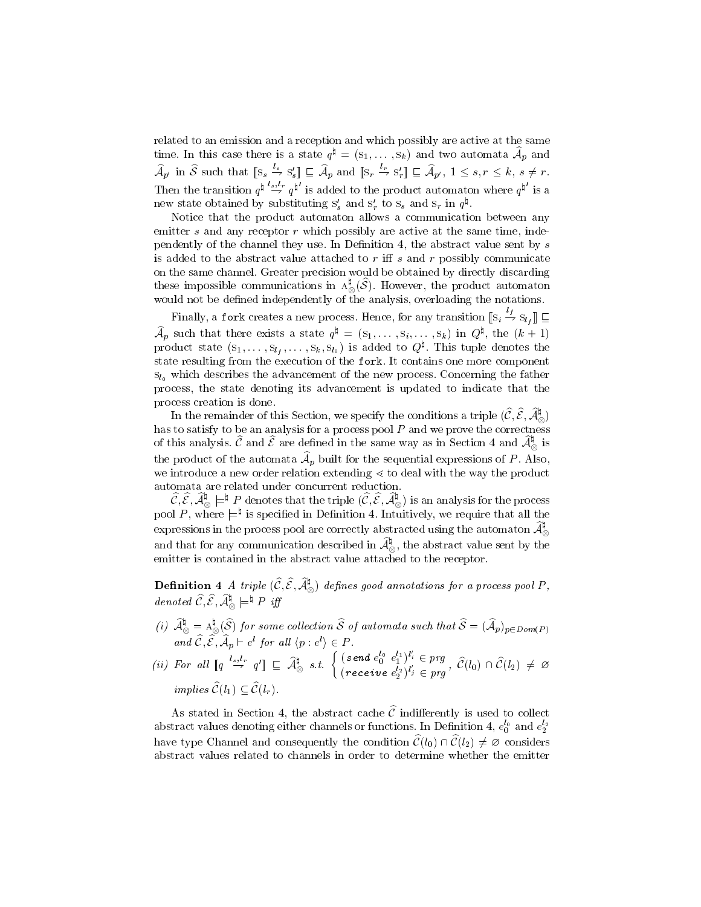related to an emission and a reception and which possibly are active at the same time. In this case there is a state  $q^* = (s_1, \ldots, s_k)$  and two automata  $\mathcal{A}_p$  and  $\mathcal{A}_{p'}$  in S such that  $[s_s \overset{\sim}{\to} s'_s] \sqsubseteq \mathcal{A}_p$  and  $[s_r \overset{\sim}{\to} s'_r] \sqsubseteq \mathcal{A}_{p'}$ ,  $1 \leq s, r \leq k, s \neq r$ . Then the transition  $q^{\mu} \stackrel{\sim}{\rightarrow} q^{\mu}$  is added to the product automaton where  $q^{\mu}$  is a new state obtained by substituting  $s_s$  and  $s_r$  to  $s_s$  and  $s_r$  in  $q$ .

Notice that the product automaton allows a communication between any emitter  $s$  and any receptor  $r$  which possibly are active at the same time, independently of the channel they use. In Definition 4, the abstract value sent by  $s$ is added to the abstract value attached to  $r$  iff  $s$  and  $r$  possibly communicate on the same channel. Greater precision would be obtained by directly discarding these impossible communications in  ${\rm A}^{\scriptscriptstyle\wedge}_{\scriptscriptstyle\O}$  (S). However, the product automaton  $\sim$ would not be defining independently of the analysis, overloading the notations.

Finally, a fork creates a new process. Hence, for any transition  $[\![s_i \stackrel{\rightharpoonup}{\to} s_{l_f}]\!]$   $\sqsubseteq$  ${\cal A}_p$  such that there exists a state  $q^* \equiv (s_1,\ldots,s_i,\ldots,s_k)$  in  $Q^*,$  the  $(\kappa+1)$ product state  $(s_1,\ldots,s_l_t,\ldots,s_k,s_{l_0})$  is added to  $Q^\star$ . This tuple denotes the state resulting from the execution of the fork. It contains one more component  $s_{l_0}$  which describes the advancement of the new process. Concerning the father process, the state denoting its advancement is updated to indicate that the process creation is done.

In the remainder of this Section, we specify the conditions a triple  $(\mathcal{C}, \mathcal{E}, \mathcal{A}_\infty^+)$  of this analysis.  $\widehat{\mathcal{C}}$  and  $\widehat{\mathcal{E}}$  are defined in the same way as in Section 4 and  $\widehat{\mathcal{A}}_{\otimes}^{\natural}$  is the product of the automata  $A_p$  built for the sequential expressions of  $P$ . Also, we introduce a new order relation extending  $\leq$  to deal with the way the product

 $\hat{\mathcal{C}}, \hat{\mathcal{E}}, \hat{\mathcal{A}}_{\otimes}^{\sharp} \models^{\sharp} P$  denotes that the triple  $(\hat{\mathcal{C}}, \hat{\mathcal{E}}, \hat{\mathcal{A}}_{\otimes}^{\sharp})$  is an analysis for the process pool  $P$ , where  $\rightleftharpoons$  is specified in Definition 4. Intuitively, we require that all the expressions in the process pool are correctly abstracted using the automaton  $\widehat{\mathcal{A}}_{\infty}^{\sharp}$  $\sim$ and that for any communication described in  ${\cal A}^*_{\infty},$  the abstract value sent by the  $\sim$ emitter is contained in the abstract value attached to the receptor.

**Definition 4** A triple  $(C, \mathcal{E}, \mathcal{A}_{\infty})$  defines good annotations for a process pool P, denoted  $\mathcal{C}, \mathcal{E}, \mathcal{A}_{\otimes} \models^* P \text{ iff}$  $\sim$ 

- (i)  $A_\odot^* = A_\odot^*(\mathcal{S})$  for some collection  $\mathcal S$  of automata such that  $\mathcal{S} = (A_p)_{p \in Dom(P)}$ and  $C, \mathcal{E}, \mathcal{A}_p \vdash e^c$  for all  $\langle p : e^c \rangle \in P$ .
- (ii) For all  $\llbracket q \xrightarrow{l_s,l_r} q' \rrbracket \subseteq \widehat{\mathcal{A}}_{\otimes}^{\natural}$  s.t.  $\left\{ \begin{array}{l} (\text{send } e_0^{l_0} e_1^{l_1})^{l_i} \in prg \\ (\text{end } e_{\otimes l_i}^{l_i})^{l_i} \in \mathcal{A}^{\natural} \right\}$  $(receiving \ e_{2}^{l_{2}})^{l'_{j}} \in prg$ ,  $C(v_{0}) \cap C(v_{2}) \neq \emptyset$ implies  $\widehat{\mathcal{C}}(l_1) \subset \widehat{\mathcal{C}}(l_r)$ .

As stated in Section 4, the abstract cache  $\hat{\mathcal{C}}$  indifferently is used to collect abstract values denoting either channels or functions. In Definition 4,  $e_0^\ast$  and  $e_2^\ast$ have type Channel and consequently the condition  $\widehat{\mathcal{C}}(l_0) \cap \widehat{\mathcal{C}}(l_2) \neq \emptyset$  considers abstract values related to channels in order to determine whether the emitter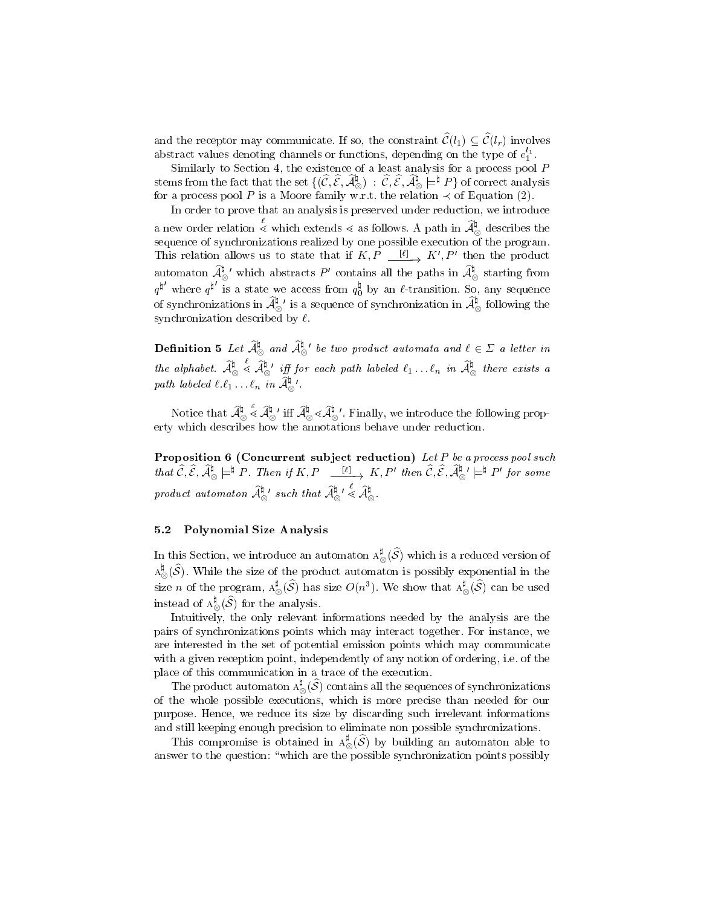and the receptor may communicate. If so, the constraint  $\widehat{\mathcal{C}}(l_1) \subseteq \widehat{\mathcal{C}}(l_r)$  involves abstract values denoting channels or functions, depending on the type of  $e_1^+.$ 

Similarly to Section 4, the existence of a least analysis for a process pool P stems from the fact that the set  $\{ (\mathcal{C}, \mathcal{E}, \mathcal{A}_\otimes^*) \; : \; \mathcal{C}, \mathcal{E}, \mathcal{A}_\otimes^* \models^* P \}$  of correct analysis for a process pool P is a Moore family w.r.t. the relation  $\prec$  of Equation (2).

In order to prove that an analysis is preserved under reduction, we introduce a new order relation  $\leq$  which extends  $\leq$  as follows. A path in  $\mathcal{A}^{\mathfrak{g}}_{\infty}$  desc describes the sequence of synchronizations realized by one possible execution of the program. This relation allows us to state that if  $K, P \xrightarrow{[P]} K, P$  then the product automaton  ${\cal A}^*_\otimes$  which abstracts  $P'$  contains all the paths in  ${\cal A}^*_\otimes$  starting from  $q^q$  where  $q^q$  is a state we access from  $q_0^*$  by an  $\ell$ -transition. So, any sequence of synchronizations in  $\widehat{{\cal A}}_\otimes^\natural$  ' is a sequence of synchronization in  $\widehat{{\cal A}}_\otimes^\natural$  following the synchronization described by  $\ell$ .

**Definition** 5 Let  $\mathcal{A}_{\infty}^*$  and  $\mathcal{A}_{\infty}^*$  be two product automata and  $\ell \in \Sigma$  a letter in  $\sim$  $\sim$ the alphabet.  $A_{\otimes} \lessdot A_{\otimes}$  iff  $\mathcal{A}_{\otimes}^{\mathfrak{q}}$  iff for each path labeled  $\ell_1 \ldots \ell_n$  in  $\mathcal{A}_{\otimes}^{\mathfrak{q}}$  there exists a path labeled  $\ell.\ell_1 \ldots \ell_n$  in  $\mathcal{A}_{\otimes}$ 

Notice that  $\mathcal A_\otimes^\mathfrak{g}\prec \mathcal A_\otimes^\mathfrak{g}$  ' iff  $\mathcal A_\otimes^\mathfrak{g}\prec \mathcal A_\otimes^\mathfrak{g}$  '. Finally, we introduce the following property which describes how the annotations behave under reduction.

Proposition 6 (Concurrent subject reduction) Let P be a process pool such that  $C, \mathcal{E}, \mathcal{A}_{\otimes} \models^* P$ . Then if  $K, P \xrightarrow{[0]} K, P'$  then  $C, \mathcal{E}, \mathcal{A}_{\otimes}^* \models^* P'$  for some product automaton  $\mathcal{A}^{\mathfrak{q}}_{\infty}$ ' such that  $\mathcal{A}^{\mathfrak{q}}_{\infty} \leq \mathcal{A}^{\mathfrak{q}}_{\infty}$ . ◡  $\sim$  $\sim$ 

#### 5.2 Polynomial Size Analysis

 $\sim$ 

In this Section, we introduce an automaton  $A_{\infty}^*(\mathcal{S})$  which is a reduced version of  $\sim$  ${\rm A}$  (S). While the size of the product automaton is possibly exponential in the  $\sim$ size n of the program,  $A_{\infty}^{*}(\mathcal{S})$  has size  $O(n^{3})$ . We show that  $A_{\infty}^{*}(\mathcal{S})$  can be used  $\sim$ \_ instead of  $A_\infty^*(\mathcal{S})$  for the analysis.

Intuitively, the only relevant informations needed by the analysis are the pairs of synchronizations points which may interact together. For instance, we are interested in the set of potential emission points which may communicate with a given reception point, independently of any notion of ordering, i.e. of the place of this communication in a trace of the execution.

The product automaton  $A_\infty^*(\mathcal{S})$  contains all the sequences of synchronizations ◡ of the whole possible executions, which is more precise than needed for our purpose. Hence, we reduce its size by discarding such irrelevant informations and still keeping enough precision to eliminate non possible synchronizations.

This compromise is obtained in  $A_{\infty}^{\circ}(\mathcal{S})$  by building an automaton able to  $\tilde{}$ answer to the question:  $\mathcal{A}$  are the points points  $\mathcal{A}$  , points the points points points  $\mathcal{A}$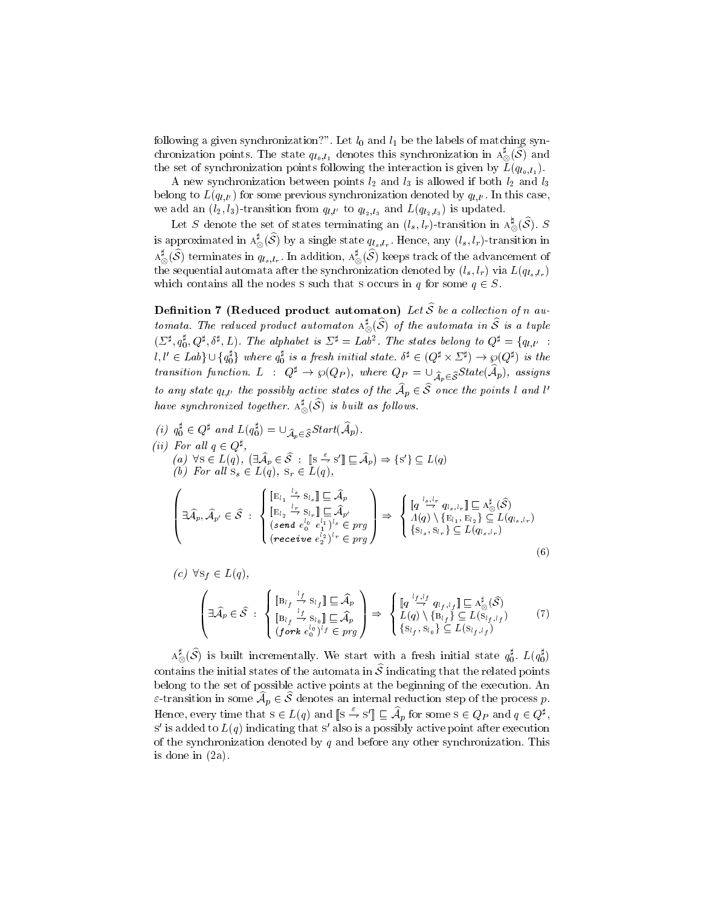following a given synchronization?". Let l0 and l1 be the labels of matching synchronization points. The state  $q_{l_0,l_1}$  denotes this synchronization in  $\Lambda_\infty^*(\mathcal{S})$  and \_ the set of synchronization points following the interaction is given by L(ql0;l1 ).

A new synchronization between points l2 and l3 is allowed if both l2 and l3 belong to  $L(q_{l,l'})$  for some previous synchronization denoted by  $q_{l,l'}$ . In this case, we add an  $(l_2, l_3)$ -transition from  $q_{l,l'}$  to  $q_{l_2,l_3}$  and  $L(q_{l_2,l_3})$  is updated.

Let S denote the set of states terminating an  $(l_s, l_r)$ -transition in  $A^*_\infty(\mathcal{S})$ . S ◡ is approximated in  ${\rm A}_\otimes^\bullet(\boldsymbol{\mathcal{S}})$  by a single state  $q_{l_s,l_r}.$  Hence, any  $(l_s,l_r)$ -transition in  ${\rm A}_\infty^*(\mathcal{S})$  terminates in  $q_{l_s,l_r}.$  In addition,  ${\rm A}_\infty^*(\mathcal{S})$  keeps track of the advancement of the sequential automata area the synchronization denoted by  $\langle s, r \rangle$  via  $E\langle q_{ls}, r_{r} \rangle$ which contains all the nodes s such that s occurs in q for some  $q \in S$ .

**Definition 7 (Reduced product automaton)** Let  $\widehat{S}$  be a collection of n automata. The reduced product automaton  $\Lambda_{\infty}^{\sim}(\mathcal{S})$  of the automata in  $\mathcal S$  is a tuple  $(\Sigma^{\sharp}, q_0^{\sharp}, Q^{\sharp}, \delta^{\sharp}, L)$ . The alphabet is  $\Sigma^{\sharp} = Lab^2$ . The states belong to  $Q^{\sharp} = \{q_{l,l'}$ :  $l, l' \in \textit{Lab}\} \cup \{q_0^r\}$  where  $q_0^r$  is a fresh initial state.  $\delta^* \in (Q^* \times \Sigma^*) \to \wp(Q^*)$  is the transition function.  $L$  :  $Q^{\sharp} \to \wp(Q_P)$ , where  $Q_P = \cup_{\widehat{\mathcal{A}}_n \in \widehat{\mathcal{S}}} State(\widehat{\mathcal{A}}_p)$ , assigns to any state  $q_{l,l'}$  the possibily active states of the  $A_p \in \mathcal{O}$  once the points l and l have synchronized together.  $A^{\scriptscriptstyle\sim}_\infty(\mathcal{S})$  is built as follows.

 $\sim$ 

(i) 
$$
q_0^{\sharp} \in Q^{\sharp}
$$
 and  $L(q_0^{\sharp}) = \bigcup_{\widehat{\mathcal{A}}_p \in \widehat{\mathcal{S}}} Start(\widehat{\mathcal{A}}_p)$ .  
\n(ii) For all  $q \in Q^{\sharp}$ ,  
\n(a)  $\forall s \in L(q)$ ,  $(\exists \widehat{\mathcal{A}}_p \in \widehat{\mathcal{S}} : [\mathbf{s} \stackrel{\epsilon}{\to} s'] \sqsubseteq \widehat{\mathcal{A}}_p) \Rightarrow \{s'\} \subseteq L(q)$   
\n(b) For all  $s_s \in L(q)$ ,  $s_r \in L(q)$ ,  
\n
$$
\left\{\begin{aligned}\n&\exists \widehat{\mathcal{A}}_p, \widehat{\mathcal{A}}_{p'} \in \widehat{\mathcal{S}} : \begin{cases}\n\left[\mathbf{E}_{l_1} \stackrel{i_s}{\to} s_{l_s}\right] \sqsubseteq \widehat{\mathcal{A}}_p \\
\left[\mathbf{E}_{l_2} \stackrel{i_r}{\to} s_{l_r}\right] \sqsubseteq \widehat{\mathcal{A}}_p \\
\left(\begin{aligned}\n\left[\mathbf{E}_{l_1} \stackrel{i_s}{\to} s_{l_s}\right] \sqsubseteq \widehat{\mathcal{A}}_p \\
\left(\begin{aligned}\n\left[\mathbf{E}_{l_2} \stackrel{i_r}{\to} s_{l_r}\right] \sqsubseteq \widehat{\mathcal{A}}_p \\
\left(\begin{aligned}\n\left[\mathbf{E}_{l_2} \stackrel{i_r}{\to} s_{l_r}\right] \sqsubseteq \widehat{\mathcal{A}}_p \\
\left(\begin{aligned}\n\left[\mathbf{E}_{l_2} \stackrel{i_r}{\to} s_{l_r}\right] \sqsubseteq \widehat{\mathcal{A}}_p \\
\left(\begin{aligned}\n\left[\mathbf{E}_{l_2} \stackrel{i_r}{\to} s_{l_r}\right] \sqsubseteq \widehat{\mathcal{A}}_p \\
\left(\begin{aligned}\n\left[\mathbf{E}_{l_2} \stackrel{i_s}{\to} s_{l_r}\right] \sqsubseteq \widehat{\mathcal{A}}_p \\
\left(\begin{aligned}\n\left[\mathbf{E}_{l_2} \stackrel{i_s}{\to} s_{l_r}\right] \sqsubseteq \widehat{\mathcal{A}}_p \\
\left(\begin{aligned}\n\left[\mathbf{E}_{l_2} \stackrel{i_s}{\to} s_{l_r}\right] \longleft[\mathbf{E
$$

$$
\begin{pmatrix}\n\exists \widehat{\mathcal{A}}_p \in \widehat{\mathcal{S}} : \begin{cases}\n\left[\mathbf{B}_{l_f} \stackrel{l_f}{\rightarrow} \mathbf{S}_{l_f}\right] \sqsubseteq \widehat{\mathcal{A}}_p \\
\left[\mathbf{B}_{l_f} \stackrel{l_f}{\rightarrow} \mathbf{S}_{l_0}\right] \sqsubseteq \widehat{\mathcal{A}}_p \\
\left(\text{fork } e_0^{l_0}\right)^{l_f} \in \mathit{prg}\n\end{cases}\n\end{pmatrix} \Rightarrow\n\begin{cases}\n\left[q \stackrel{l_f, l_f}{\rightarrow} q_{l_f, l_f}\right] \sqsubseteq \mathbf{A}_{\infty}^{\sharp}(\widehat{\mathcal{S}}) \\
L(q) \setminus \left\{\mathbf{B}_{l_f}\right\} \subseteq L(\mathbf{S}_{l_f, l_f}) \\
\left\{\mathbf{S}_{l_f}, \mathbf{S}_{l_0}\right\} \subseteq L(\mathbf{S}_{l_f, l_f})\n\end{pmatrix} \tag{7}
$$

 $\Lambda_\infty^{\varepsilon}(\mathcal{S})$  is built incrementally. We start with a fresh initial state  $q_0^{\varepsilon}$ .  $L(q_0^{\varepsilon})$  $\tilde{}$ contains the initial states of the automata in  $\hat{\mathcal{S}}$  indicating that the related points belong to the set of possible active points at the beginning of the execution. An  $z$ -transition in some  $A_p \in \mathcal{O}$  denotes an internal reduction step of the process  $p$ . Hence, every time that  $s \in L(q)$  and  $\|s \to s'\| \sqsubseteq \mathcal{A}_p$  for some  $s \in Q_P$  and  $q \in Q^*$ , , and the contract of the contract of the contract of the contract of the contract of the contract of the contract of the contract of the contract of the contract of the contract of the contract of the contract of the con  $\sigma$  is added to  $L(q)$  indicating that s also is a possibly active point after execution of the synchronization denoted by  $q$  and before any other synchronization. This is done in (2a).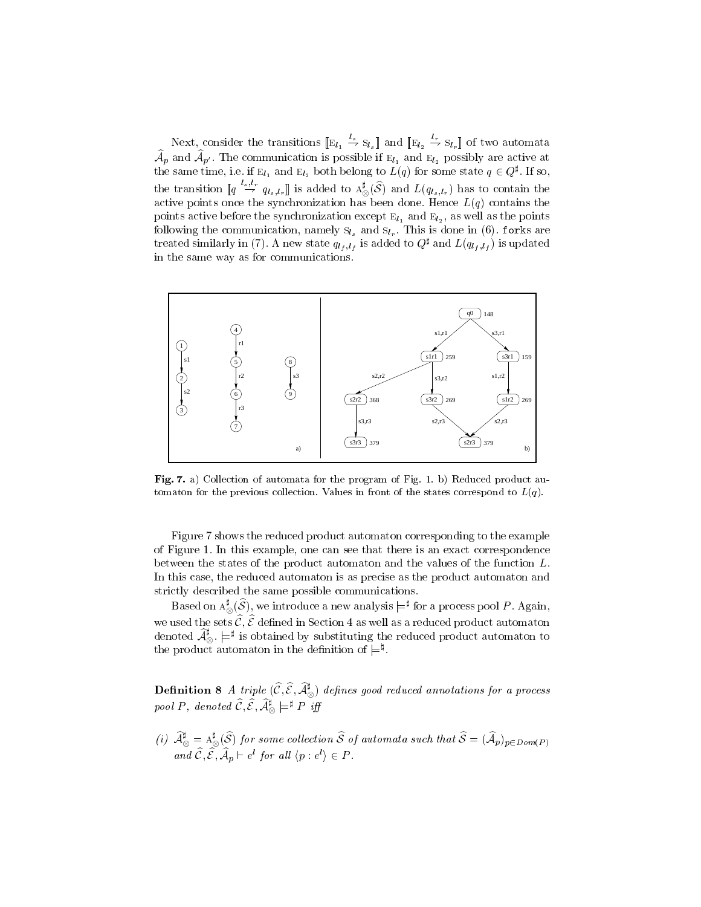Next, consider the transitions  $[\![E_{l_1} \stackrel{l_s}{\to} S_{l_s}]\!]$  and  $[\![E_{l_2} \stackrel{l_r}{\to} S_{l_r}]\!]$  of two automata  $\lambda_p$  and  $\lambda_p$ . The communication is possible if  $\varepsilon_{l_1}$  and  $\varepsilon_{l_2}$  possibly are active at the same time, i.e. if  $E_{l_1}$  and  $E_{l_2}$  both belong to  $L(q)$  for some state  $q \in Q^*$ . If so, the transition  $\llbracket q \stackrel{\cdots}{\rightarrow} q_{l_s,l_r} \rrbracket$  is added to  $A^*_{\otimes}(S)$  and  $L(q_{l_s,l_r})$  has to contain the active points once the synchronization has been done. Hence  $L(q)$  contains the points active before the synchronization except  $E_{l_1}$  and  $E_{l_2}$ , as well as the points following the communication, namely  $s_{l_s}$  and  $s_{l_r}$ . This is done in (6). forks are treated similarly in (7). A new state  $q_{l_f, l_f}$  is added to  $Q^*$  and  $L(q_{l_f, l_f})$  is updated in the same way as for communications.



Fig. 7. a) Collection of automata for the program of Fig. 1. b) Reduced product automaton for the previous collection. Values in front of the states correspond to  $L(q)$ .

Figure 7 shows the reduced product automaton corresponding to the example of Figure 1. In this example, one can see that there is an exact correspondence between the states of the product automaton and the values of the function L. In this case, the reduced automaton is as precise as the product automaton and strictly described the same possible communications.

Based on  $\Lambda_\otimes^*(\mathcal{S}) ,$  we introduce a new analysis  $\models^*$  for a process pool  $P.$  Again, we used the sets  $C, C$  defined in Section 4 as well as a reduced product automaton  $\overline{C}$ denoted  ${\cal A}_\otimes^r$   $\models^*$  is obtained by substituting the reduced product automaton to the product automaton in the definition of  $\models^{\natural}$ .

**Definition 8** A triple  $(C, \mathcal{E}, \mathcal{A}_{\infty}^*)$  defines good reduced annotations for a process pool P, denoted  $\widehat{\mathcal{C}}, \widehat{\mathcal{E}}, \widehat{\mathcal{A}}_{\otimes}^{\sharp}\models^{\sharp} P$  iff

(i)  $A^*_\otimes = A^*_\otimes(\delta)$  for some collection  $\delta$  of automata such that  $\delta = ({\cal A}_p)_{p\in Dom(P)}$ and  $C, \mathcal{E}, \mathcal{A}_p \vdash e^c$  for all  $\langle p : e^c \rangle \in P$ .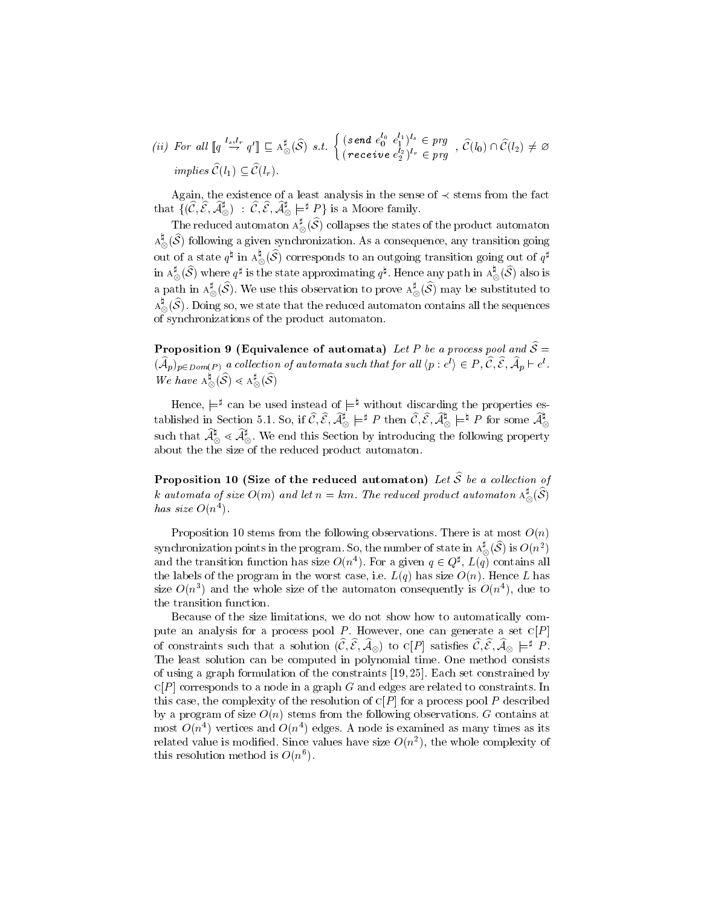(ii) For all  $\llbracket q \xrightarrow{l_s, l_r} q' \rrbracket \sqsubseteq A_{\otimes}^{\sharp}(\widehat{S}) \ s.t. \ \begin{cases} \text{(send } e_0^{l_0} \ e_1^{l_1})^{l_s} \in prg \\ \text{(measurable)} \ \text{(eq)} \end{cases}, \ \widehat{\mathcal{C}}(l_0)$  $(receiving \ e_2^{l_2})^{l_r} \in \mathit{prg}^{-1}$  ,  $C(v_0) \cap C(v_2) \neq \varnothing$ implies  $\widehat{\mathcal{C}}(l_1) \subseteq \widehat{\mathcal{C}}(l_r)$ .

Again, the existence of a least analysis in the sense of  $\prec$  stems from the fact that  $\{(C,\mathcal{E},\mathcal{A}_\otimes^*)\;:\;C,\mathcal{E},\mathcal{A}_\otimes^*\models^* P\}$  is a Moore family. ◡ ◡

The reduced automaton  $A_{\infty}^{*}(\mathcal{S})$  collapses the states of the product automaton  $\sim$  $\mathrm{A}_\odot$  (S) following a given synchronization. As a consequence, any transition going  $\sim$ out of a state  $q^*$  in  $A^\infty_\infty(\mathcal{S})$  corresponds to an outgoing transition going out of  $q^*$  $\sim$ in  $A^{\ast}_{\infty}(\mathcal{S})$  where  $q^*$  is the state approximating  $q^*$ . Hence any path in  $A^{\ast}_{\infty}(\mathcal{S})$  also is  $\sim$  $\sim$ a path in  $A_{\infty}^{*}(\mathcal{S})$ . We use this observation to prove  $A_{\infty}^{*}(\mathcal{S})$  may be substituted to  $\sim$ ◡  $\mathrm{A}$   $_{\odot}$  (S ). Doing so, we state that the reduced automaton contains all the sequences  $\sim$ of synchronizations of the product automaton.

Proposition 9 (Equivalence of automata) Let P be a process pool and  $\widehat{\mathcal{S}} =$  $(\mathcal{A}_p)_{p\in Dom(P)}$  a collection of automata such that for all  $\langle p:e'\rangle\in F$  ,  $\cup$  ,  $\in$  ,  $\mathcal{A}_p\sqsubset e'$  . We have  $A_{\infty}(\mathcal{S}) \leq A_{\infty}(\mathcal{S})$ 

◡

 $\tilde{}$ 

Hence,  $\models^*$  can be used instead of  $\models^*$  without discarding the properties established in Section 5.1. So, if  $\mathcal{C}, \mathcal{E}, \mathcal{A}_{\otimes}^{\bullet} \models^* P$  then  $\mathcal{C}, \mathcal{E}, \mathcal{A}_{\otimes}^{\bullet} \models^* P$  for some  $\mathcal{A}_{\otimes}^{\bullet}$ such that  ${\cal A}^*_\otimes \lessdot {\cal A}^*_\otimes$  . We end this Section by introducing the following property about the the size of the reduced product automaton.

Proposition 10 (Size of the reduced automaton) Let  $\widehat{S}$  be a collection of k automata of size  $O(m)$  and let  $n = km$ . The reduced product automaton  $A^*_\infty(\mathcal{S})$  $\sim$  $has\ size\ O(n^+).$ 

Proposition 10 stems from the following observations. There is at most  $O(n)$ synchronization points in the program. So, the number of state in  $A_{\infty}^*(\mathcal{S})$  is  $O(n^2)$ and the transition function has size  $O(n^4)$ . For a given  $q \in Q^{\sharp}$ ,  $L(q)$  contains all  $\overline{\phantom{a}}$ the labels of the program in the worst case, i.e.  $L(q)$  has size  $O(n)$ . Hence L has size  $O(n^+)$  and the whole size of the automaton consequently is  $O(n^+)$ , due to the transition function.

Because of the size limitations, we do not show how to automatically compute an analysis for a process pool P. However, one can generate a set  $C[P]$ of constraints such that a solution  $(L, \mathcal{E}, \mathcal{A}_{\otimes})$  to C[P] satisfies  $U, \mathcal{E}, \mathcal{A}_{\otimes} \models^* P$ .  $\sim$  $\sim$ The least solution can be computed in polynomial time. One method consists of using a graph formulation of the constraints [19, 25]. Each set constrained by  $C[P]$  corresponds to a node in a graph G and edges are related to constraints. In this case, the complexity of the resolution of  $C[P]$  for a process pool P described by a program of size  $O(n)$  stems from the following observations. G contains at most  $O(n^+)$  vertices and  $O(n^+)$  edges. A node is examined as many times as its related value is modified. Since values have size  $O(n^2)$ , the whole complexity of this resolution method is  $O(n^{\epsilon})$ .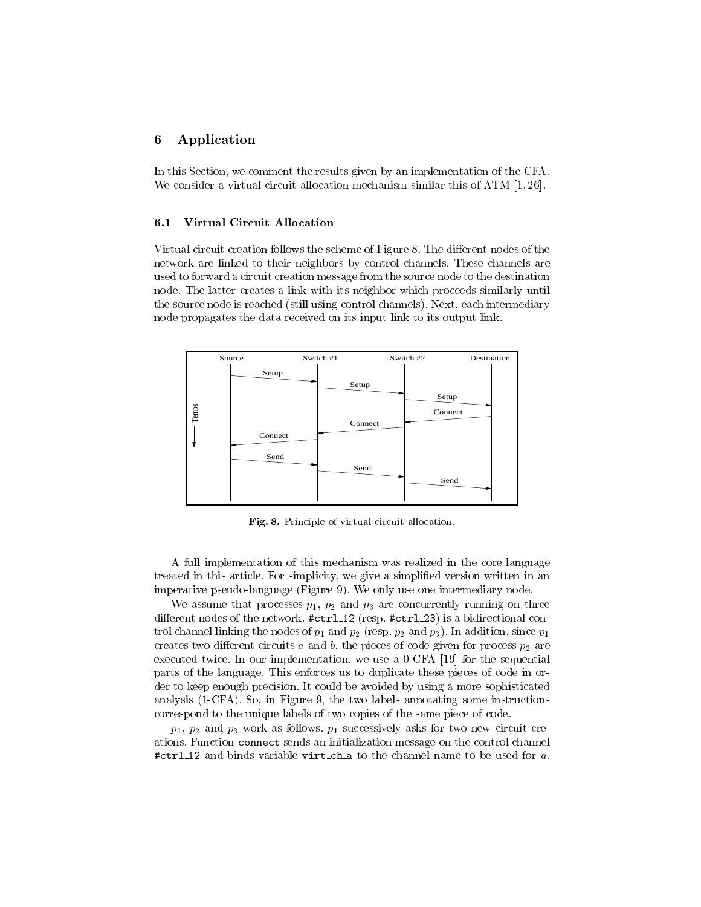# 6 Application

In this Section, we comment the results given by an implementation of the CFA. We consider a virtual circuit allocation mechanism similar this of ATM [1,26].

#### 6.1 Virtual Circuit Allocation

Virtual circuit creation follows the scheme of Figure 8. The different nodes of the network are linked to their neighbors by control channels. These channels are used to forward a circuit creation message from the source node to the destination node. The latter creates a link with its neighbor which proceeds similarly until the source node is reached (still using control channels). Next, each intermediary node propagates the data received on its input link to its output link.



Fig. 8. Principle of virtual circuit allocation.

A full implementation of this mechanism was realized in the core language treated in this article. For simplicity, we give a simplified version written in an imperative pseudo-language (Figure 9). We only use one intermediary node.

we assume that processes  $p$  if  $p$  are concurrent concurrently running one three concurrent different nodes of the network.  $\# \text{ctrl12}$  (resp.  $\# \text{ctrl23}$ ) is a bidirectional control channel linking the nodes of p1 and p $\rho$ 2 (resp. p2 and p3). In addition, since p1 and p1  $\rho$ 1 creates two dierent circuits and b, the pieces of code given given process process  $p$  and  $p$ executed twice. In our implementation, we use a 0-CFA [19] for the sequential parts of the language. This enforces us to duplicate these pieces of code in order to keep enough precision. It could be avoided by using a more sophisticated analysis (1-CFA). So, in Figure 9, the two labels annotating some instructions correspond to the unique labels of two copies of the same piece of code.

 $p$  )  $p$   $p$  and  $p$  as follows. The follows for two news follows. The contract creation creation creation of the contract creation  $p$ ations. Function connect sends an initialization message on the control channel #ctrl <sup>12</sup> and binds variable virt ch <sup>a</sup> to the channel name to be used for a.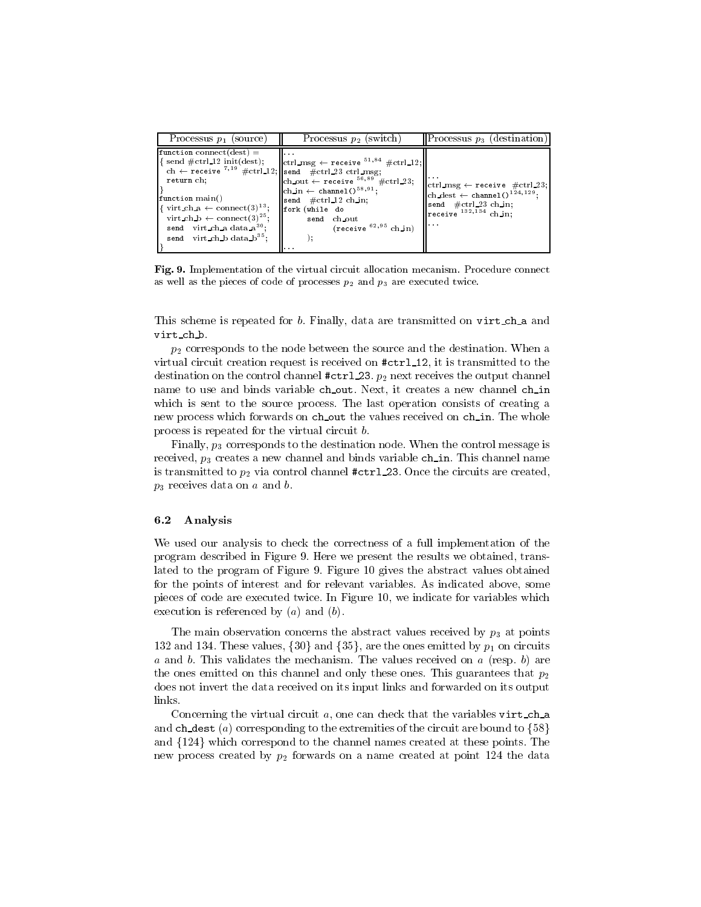| Processus $p_1$ (source)                                                                                                                                                                                                                                                                                                                                                                                                              | Processus $p_2$ (switch)                                                                                                                                                                                                                                                                                       | <b>Processus</b> $p_3$ (destination)                                                                                                                                                                                                     |
|---------------------------------------------------------------------------------------------------------------------------------------------------------------------------------------------------------------------------------------------------------------------------------------------------------------------------------------------------------------------------------------------------------------------------------------|----------------------------------------------------------------------------------------------------------------------------------------------------------------------------------------------------------------------------------------------------------------------------------------------------------------|------------------------------------------------------------------------------------------------------------------------------------------------------------------------------------------------------------------------------------------|
| $\mathbf{function}$ connect (dest) =<br>$\left  \right\{ \text{ send } \# \text{ctrl\_12 init}(\text{dest}) ;$<br>ch $\leftarrow$ receive $^{7,19}$ #ctrl_12; send #ctrl_23 ctrl_msg;<br>return ch:<br>function main()<br>$\left[\right\{ \text{ virt\_ch\_a} \leftarrow \text{connect}(3)^{13};\right\}$<br>virt_ch_b $\leftarrow$ connect (3) <sup>25</sup> ;<br>send virt_ch_a data_ $a^{30}$ .<br>send virt_ch_b data_ $b^{35}$ ; | $\ \text{ctrl_msg} \leftarrow \text{receive }^{51,84} \# \text{ctrl_12:}\ $<br>$\parallel$ ch_out $\leftarrow$ receive $^{56,89}$ #ctrl_23;<br>$\vert$ ch_in $\leftarrow$ channel() <sup>58,91</sup> ;<br>send $\# \text{ctrl} 12 \text{ ch.in.}$<br>fork (while do<br>send ch_out<br>$(receive^{62,95}ch_in)$ | $\left\Vert \text{ctrl\_msg} \leftarrow \texttt{receive} \right\Vert \# \text{ctrl\_} 23;$<br>$\vert$ ch_dest $\leftarrow$ channel() <sup>124,129</sup> ;<br>send $\# \text{ctrl}_2$ 3 ch in;<br>$\parallel$ receive $^{132,134}$ ch in: |

Fig. 9. Implementation of the virtual circuit allocation mecanism. Procedure connect as well as the pieces of code of processes  $p_2$  and  $p_3$  are executed twice.

This scheme is repeated for b. Finally, data are transmitted on virt\_ch\_a and virt ch b.

p2 corresponds to the node between the source and the destination. When a virtual circuit creation request is received on  $\# \text{ctrl12}$ , it is transmitted to the destination on the control channel #ctrl 23. pairs receives the output channel. name to use and binds variable ch\_out. Next, it creates a new channel ch\_in which is sent to the source process. The last operation consists of creating a new process which forwards on ch\_out the values received on ch\_in. The whole process is repeated for the virtual circuit b.

Finally, p3 corresponds to the destination node. When the control message is received, p3 creates a new channel and binds variable channel and binds variable channel names in this channel is transmitted to p2 via control channel #ctrl 23. Once the circuits are created, p., **p** receives data on a and b. **compared** b.

#### 6.2 Analysis

We used our analysis to check the correctness of a full implementation of the program described in Figure 9. Here we present the results we obtained, translated to the program of Figure 9. Figure 10 gives the abstract values obtained for the points of interest and for relevant variables. As indicated above, some pieces of code are executed twice. In Figure 10, we indicate for variables which execution is referenced by  $(a)$  and  $(b)$ .

The main observation concerns the abstract values received by p3 at points 132 and 134. These values, f30g and f35g, are the ones emitted by p1 on circuits  $a$  and  $b$ . This validates the mechanism. The values received on  $a$  (resp.  $b$ ) are the ones emitted on this channel and only these ones. This guarantees that  $p_2$ does not invert the data received on its input links and forwarded on its output links.

Concerning the virtual circuit  $a$ , one can check that the variables virt\_ch\_a and ch dest (a) corresponding to the extremities of the circuit are bound to  $\{58\}$ and  ${124}$  which correspond to the channel names created at these points. The new process created by p2 forwards on a name created at penet no process on a compo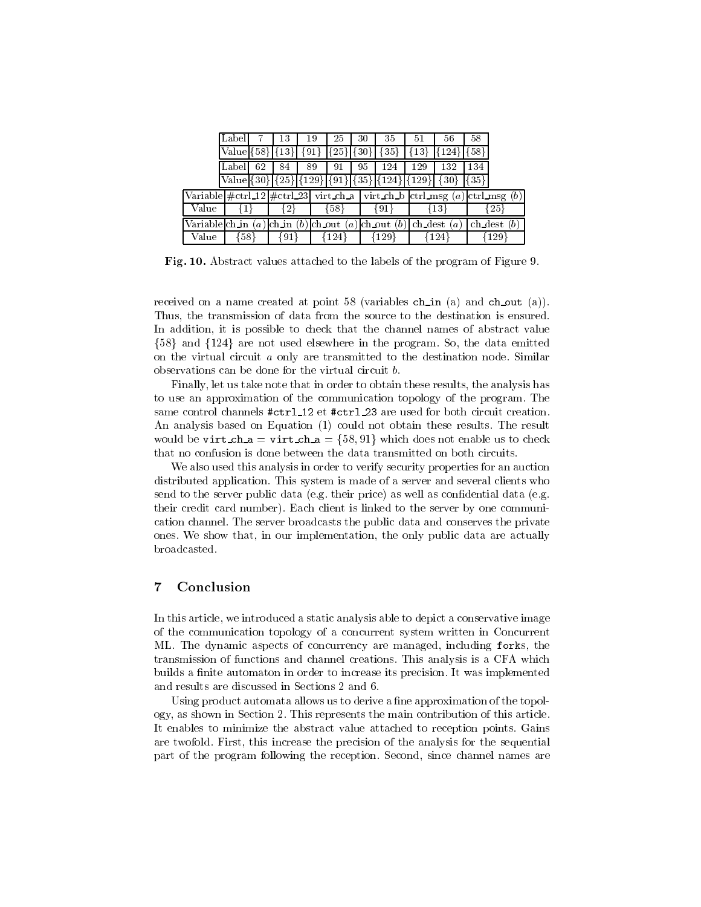|                                                                                                       | Label  |       | 13                  | 19                   | 25              | 30           | 35                                                                      | 51               | 56                        | 58.    |               |
|-------------------------------------------------------------------------------------------------------|--------|-------|---------------------|----------------------|-----------------|--------------|-------------------------------------------------------------------------|------------------|---------------------------|--------|---------------|
|                                                                                                       |        |       | $Valuel$ {58}[{13}] | ${91}$               | ${25}$ $[{30}]$ |              | $35\}$                                                                  | {13}             | ${124}$                   | ${58}$ |               |
|                                                                                                       | Labell | 62    | 84                  | 89                   | 91              | 95           | 124                                                                     | 129              | 132                       | 134    |               |
|                                                                                                       |        |       |                     |                      |                 |              | Value $\{30\}$ $\{25\}$ $\{129\}$ $\{91\}$ $\{35\}$ $\{124\}$ $\{129\}$ |                  | $\{30\}$ $ \{35\}\rangle$ |        |               |
| Variable $\# \text{ctrl}$ = 12 $\# \text{ctrl}$ = 23 virt_ch_a   virt_ch_b  ctrl_msg (a) ctrl_msg (b) |        |       |                     |                      |                 |              |                                                                         |                  |                           |        |               |
| Value                                                                                                 |        | l 1 l |                     |                      | [58]            |              | {13}<br>{91}                                                            |                  |                           | {25}   |               |
| Variable $\text{ch}\text{\_in} (a)$                                                                   |        |       |                     | $  ch_in(b)  ch.out$ |                 | $(a)$ ch out | (b)                                                                     | ch_dest          | $\alpha$                  |        | $ch\_dest(b)$ |
| Value                                                                                                 |        | {58}  | ${91}$              |                      | ${124}$         |              |                                                                         | ${129}$<br>{124} |                           | {129}  |               |

Fig. 10. Abstract values attached to the labels of the program of Figure 9.

received on a name created at point 58 (variables ch in (a) and ch out (a)). Thus, the transmission of data from the source to the destination is ensured. In addition, it is possible to check that the channel names of abstract value  $\{58\}$  and  $\{124\}$  are not used elsewhere in the program. So, the data emitted on the virtual circuit <sup>a</sup> only are transmitted to the destination node. Similar observations can be done for the virtual circuit b.

Finally, let us take note that in order to obtain these results, the analysis has to use an approximation of the communication topology of the program. The same control channels #ctrl\_12 et #ctrl\_23 are used for both circuit creation. An analysis based on Equation (1) could not obtain these results. The result would be virt ch  $a = \text{virt-ch} = \{58, 91\}$  which does not enable us to check that no confusion is done between the data transmitted on both circuits.

We also used this analysis in order to verify security properties for an auction distributed application. This system is made of a server and several clients who send to the server public data (e.g. their price) as well as confidential data (e.g. their credit card number). Each client is linked to the server by one communication channel. The server broadcasts the public data and conserves the private ones. We show that, in our implementation, the only public data are actually broadcasted.

#### $\overline{7}$ Conclusion

In this article, we introduced a static analysis able to depict a conservative image of the communication topology of a concurrent system written in Concurrent ML. The dynamic aspects of concurrency are managed, including forks, the transmission of functions and channel creations. This analysis is a CFA which builds a finite automaton in order to increase its precision. It was implemented and results are discussed in Sections 2 and 6.

Using product automata allows us to derive a fine approximation of the topology, as shown in Section 2. This represents the main contribution of this article. It enables to minimize the abstract value attached to reception points. Gains are twofold. First, this increase the precision of the analysis for the sequential part of the program following the reception. Second, since channel names are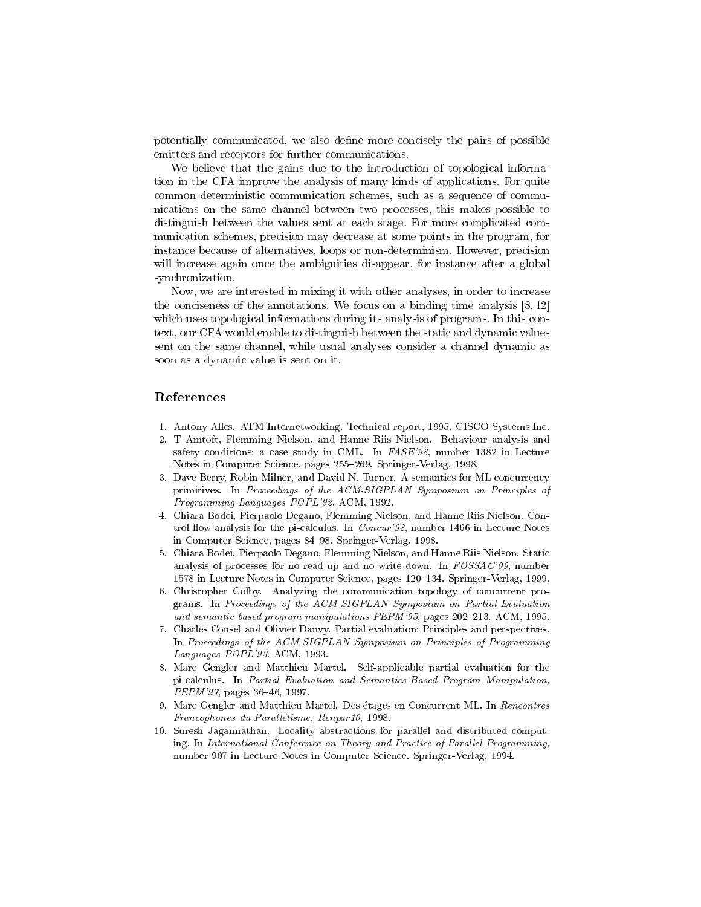potentially communicated, we also define more concisely the pairs of possible emitters and receptors for further communications.

We believe that the gains due to the introduction of topological information in the CFA improve the analysis of many kinds of applications. For quite common deterministic communication schemes, such as a sequence of communications on the same channel between two processes, this makes possible to distinguish between the values sent at each stage. For more complicated com munication schemes, precision may decrease at some points in the program, for instance because of alternatives, loops or non-determinism. However, precision will increase again once the ambiguities disappear, for instance after a global synchronization.

Now, we are interested in mixing it with other analyses, in order to increase the conciseness of the annotations. We focus on a binding time analysis  $[8, 12]$ which uses topological informations during its analysis of programs. In this context, our CFA would enable to distinguish between the static and dynamic values sent on the same channel, while usual analyses consider a channel dynamic as soon as a dynamic value is sent on it.

### References

- 1. Antony Alles. ATM Internetworking. Technical report, 1995. CISCO Systems Inc.
- 2. T Amtoft, Flemming Nielson, and Hanne Riis Nielson. Behaviour analysis and safety conditions: a case study in CML. In FASE'98, number 1382 in Lecture Notes in Computer Science, pages 255-269. Springer-Verlag, 1998.
- 3. Dave Berry, Robin Milner, and David N. Turner. A semantics for ML concurrency primitives. In Proceedings of the ACM-SIGPLAN Symposium on Principles of Programming Languages POPL'92. ACM, 1992.
- 4. Chiara Bodei, Pierpaolo Degano, Flemming Nielson, and Hanne Riis Nielson. Control flow analysis for the pi-calculus. In *Concur'98*, number 1466 in Lecture Notes in Computer Science, pages 84-98. Springer-Verlag, 1998.
- 5. Chiara Bodei, Pierpaolo Degano, Flemming Nielson, and Hanne Riis Nielson. Static analysis of processes for no read-up and no write-down. In FOSSAC'99, number 1578 in Lecture Notes in Computer Science, pages 120-134. Springer-Verlag, 1999.
- 6. Christopher Colby. Analyzing the communication topology of concurrent programs. In Proceedings of the ACM-SIGPLAN Symposium on Partial Evaluation and semantic based program manipulations  $PEPM'35$ , pages  $202-213$ . ACM, 1995.
- 7. Charles Consel and Olivier Danvy. Partial evaluation: Principles and perspectives. In Proceedings of the ACM-SIGPLAN Symposium on Principles of Programming Languages POPL'93. ACM, 1993.
- 8. Marc Gengler and Matthieu Martel. Self-applicable partial evaluation for the pi-calculus. In Partial Evaluation and Semantics-Based Program Manipulation,  $PEPM'$ 97, pages 36-46, 1997.
- 9. Marc Gengler and Matthieu Martel. Des etages en Concurrent ML. In Rencontres Francophones du Parallélisme, Renpar10, 1998.
- 10. Suresh Jagannathan. Locality abstractions for parallel and distributed computing. In International Conference on Theory and Practice of Parallel Programming, number 907 in Lecture Notes in Computer Science. Springer-Verlag, 1994.